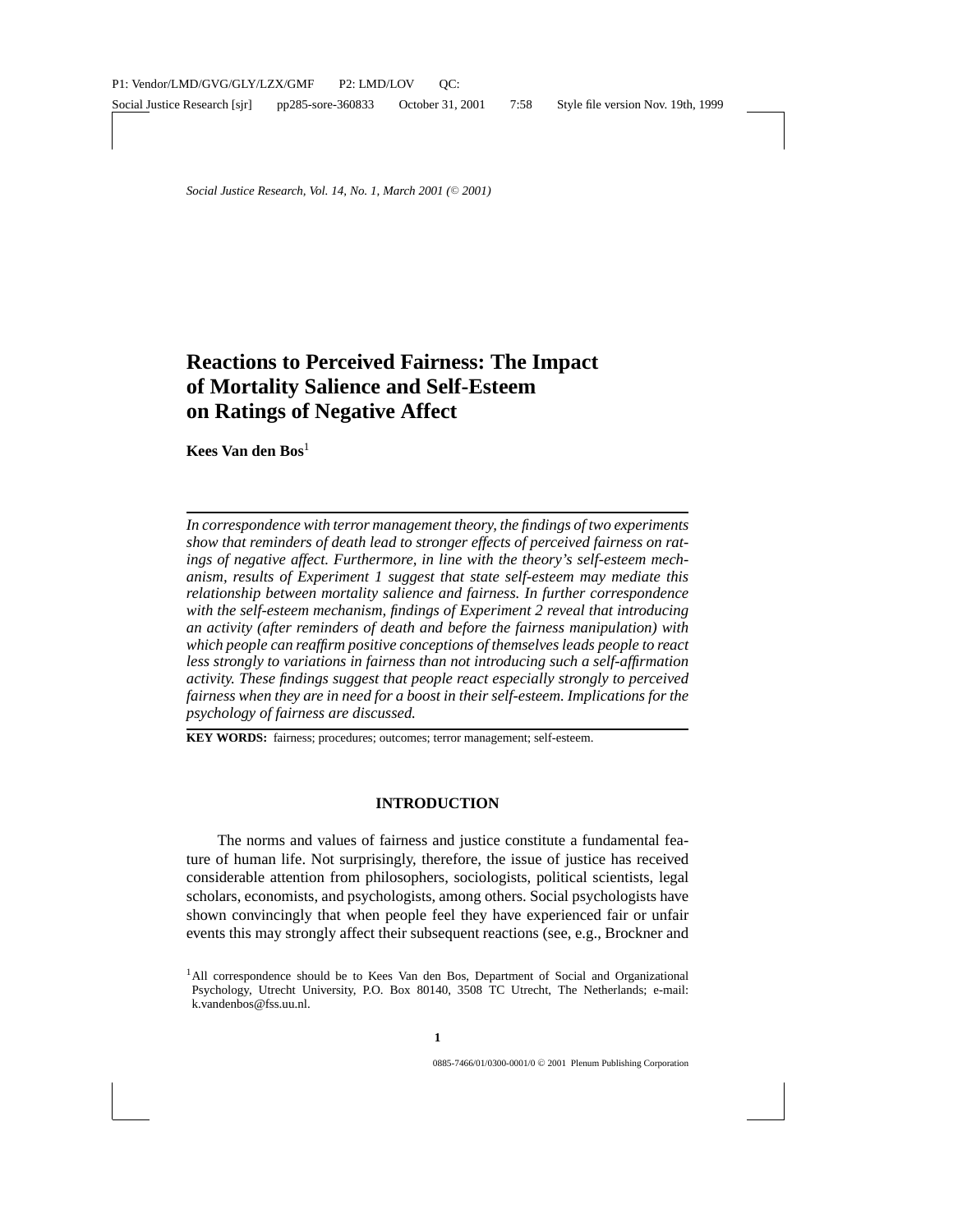# **Reactions to Perceived Fairness: The Impact of Mortality Salience and Self-Esteem on Ratings of Negative Affect**

**Kees Van den Bos**<sup>1</sup>

*In correspondence with terror management theory, the findings of two experiments show that reminders of death lead to stronger effects of perceived fairness on ratings of negative affect. Furthermore, in line with the theory's self-esteem mechanism, results of Experiment 1 suggest that state self-esteem may mediate this relationship between mortality salience and fairness. In further correspondence with the self-esteem mechanism, findings of Experiment 2 reveal that introducing an activity (after reminders of death and before the fairness manipulation) with which people can reaffirm positive conceptions of themselves leads people to react less strongly to variations in fairness than not introducing such a self-affirmation activity. These findings suggest that people react especially strongly to perceived fairness when they are in need for a boost in their self-esteem. Implications for the psychology of fairness are discussed.*

**KEY WORDS:** fairness; procedures; outcomes; terror management; self-esteem.

# **INTRODUCTION**

The norms and values of fairness and justice constitute a fundamental feature of human life. Not surprisingly, therefore, the issue of justice has received considerable attention from philosophers, sociologists, political scientists, legal scholars, economists, and psychologists, among others. Social psychologists have shown convincingly that when people feel they have experienced fair or unfair events this may strongly affect their subsequent reactions (see, e.g., Brockner and

<sup>&</sup>lt;sup>1</sup>All correspondence should be to Kees Van den Bos, Department of Social and Organizational Psychology, Utrecht University, P.O. Box 80140, 3508 TC Utrecht, The Netherlands; e-mail: k.vandenbos@fss.uu.nl.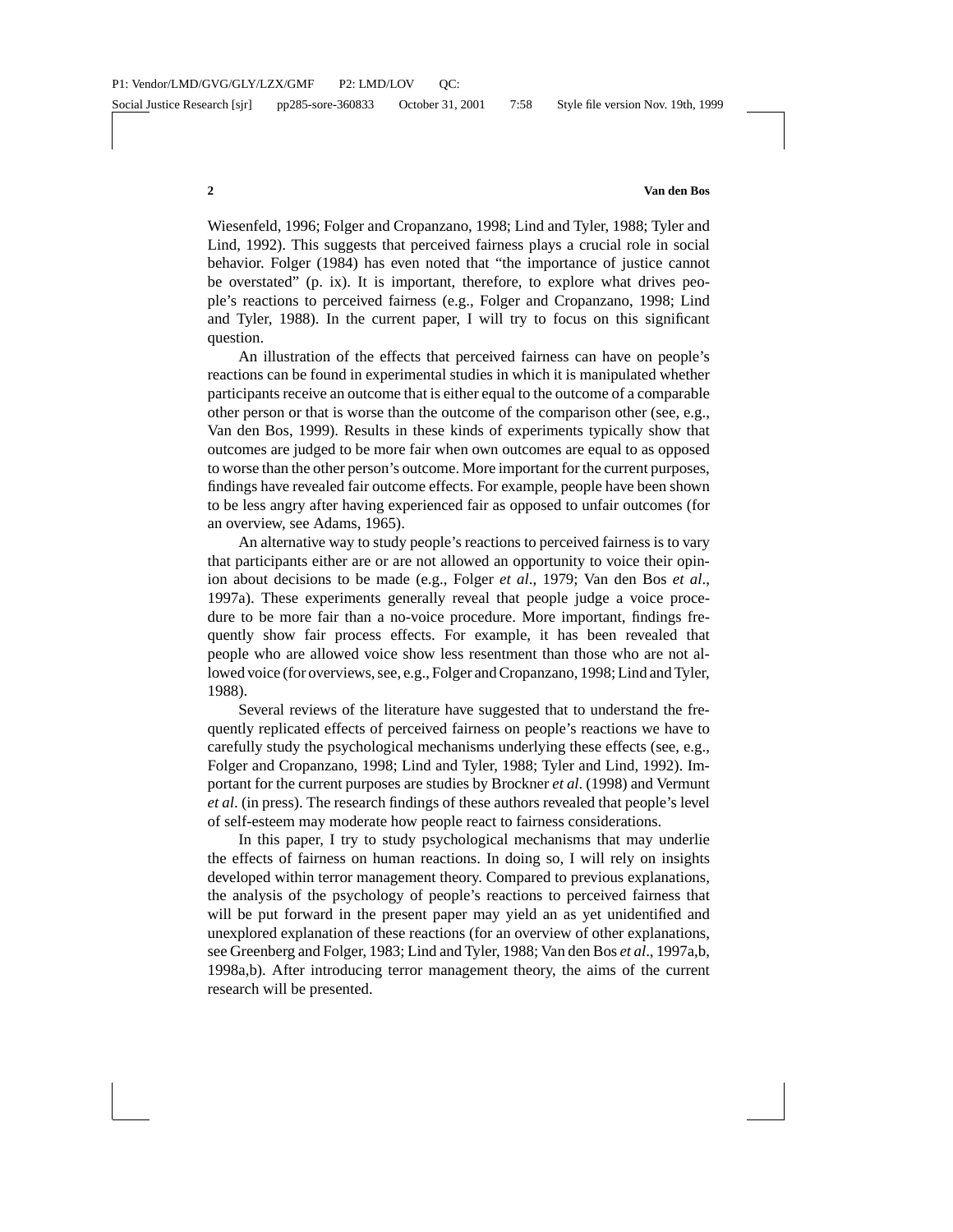Wiesenfeld, 1996; Folger and Cropanzano, 1998; Lind and Tyler, 1988; Tyler and Lind, 1992). This suggests that perceived fairness plays a crucial role in social behavior. Folger (1984) has even noted that "the importance of justice cannot be overstated" (p. ix). It is important, therefore, to explore what drives people's reactions to perceived fairness (e.g., Folger and Cropanzano, 1998; Lind and Tyler, 1988). In the current paper, I will try to focus on this significant question.

An illustration of the effects that perceived fairness can have on people's reactions can be found in experimental studies in which it is manipulated whether participants receive an outcome that is either equal to the outcome of a comparable other person or that is worse than the outcome of the comparison other (see, e.g., Van den Bos, 1999). Results in these kinds of experiments typically show that outcomes are judged to be more fair when own outcomes are equal to as opposed to worse than the other person's outcome. More important for the current purposes, findings have revealed fair outcome effects. For example, people have been shown to be less angry after having experienced fair as opposed to unfair outcomes (for an overview, see Adams, 1965).

An alternative way to study people's reactions to perceived fairness is to vary that participants either are or are not allowed an opportunity to voice their opinion about decisions to be made (e.g., Folger *et al*., 1979; Van den Bos *et al*., 1997a). These experiments generally reveal that people judge a voice procedure to be more fair than a no-voice procedure. More important, findings frequently show fair process effects. For example, it has been revealed that people who are allowed voice show less resentment than those who are not allowed voice (for overviews, see, e.g., Folger and Cropanzano, 1998; Lind and Tyler, 1988).

Several reviews of the literature have suggested that to understand the frequently replicated effects of perceived fairness on people's reactions we have to carefully study the psychological mechanisms underlying these effects (see, e.g., Folger and Cropanzano, 1998; Lind and Tyler, 1988; Tyler and Lind, 1992). Important for the current purposes are studies by Brockner *et al*. (1998) and Vermunt *et al*. (in press). The research findings of these authors revealed that people's level of self-esteem may moderate how people react to fairness considerations.

In this paper, I try to study psychological mechanisms that may underlie the effects of fairness on human reactions. In doing so, I will rely on insights developed within terror management theory. Compared to previous explanations, the analysis of the psychology of people's reactions to perceived fairness that will be put forward in the present paper may yield an as yet unidentified and unexplored explanation of these reactions (for an overview of other explanations, see Greenberg and Folger, 1983; Lind and Tyler, 1988; Van den Bos *et al*., 1997a,b, 1998a,b). After introducing terror management theory, the aims of the current research will be presented.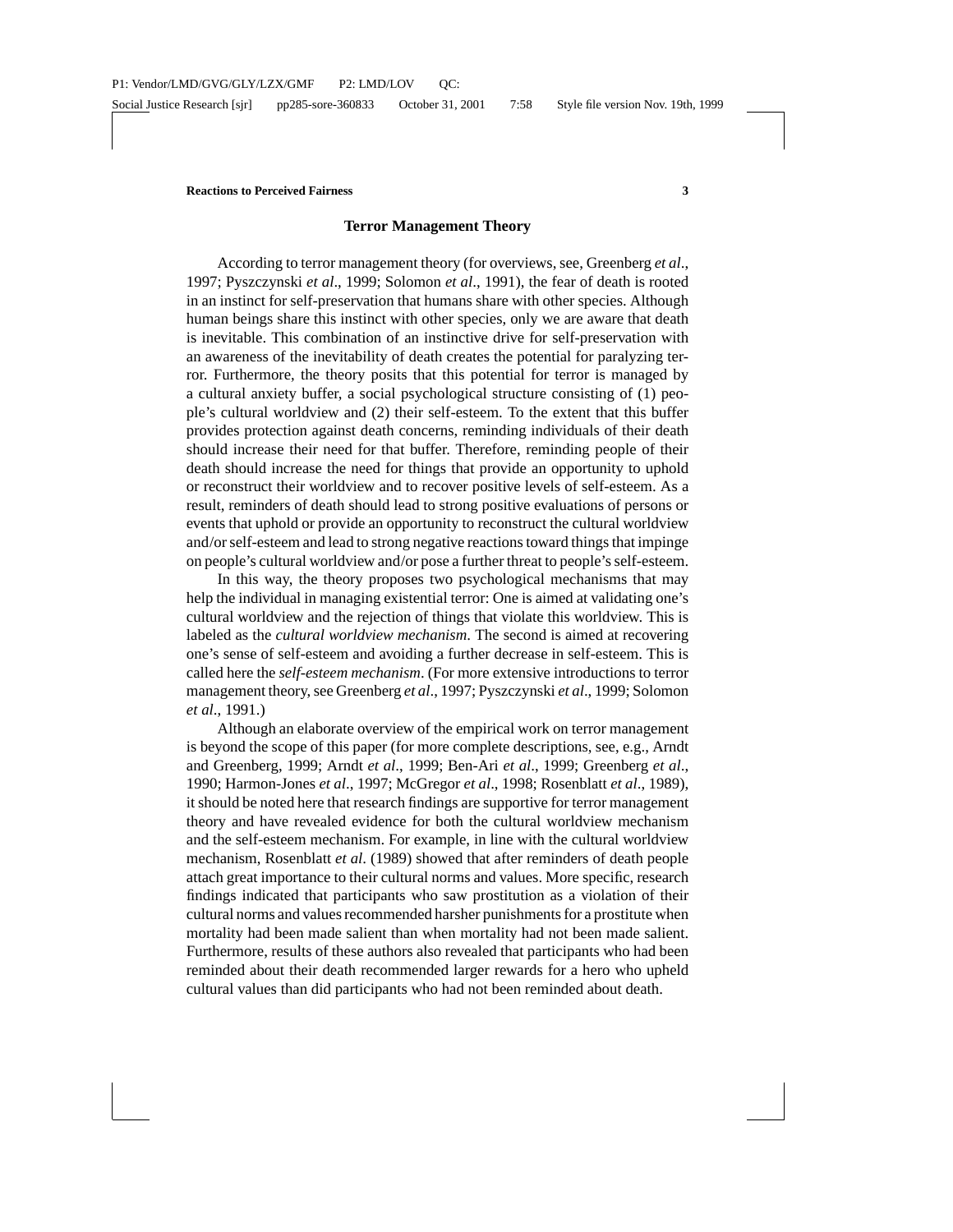#### **Terror Management Theory**

According to terror management theory (for overviews, see, Greenberg *et al*., 1997; Pyszczynski *et al*., 1999; Solomon *et al*., 1991), the fear of death is rooted in an instinct for self-preservation that humans share with other species. Although human beings share this instinct with other species, only we are aware that death is inevitable. This combination of an instinctive drive for self-preservation with an awareness of the inevitability of death creates the potential for paralyzing terror. Furthermore, the theory posits that this potential for terror is managed by a cultural anxiety buffer, a social psychological structure consisting of (1) people's cultural worldview and (2) their self-esteem. To the extent that this buffer provides protection against death concerns, reminding individuals of their death should increase their need for that buffer. Therefore, reminding people of their death should increase the need for things that provide an opportunity to uphold or reconstruct their worldview and to recover positive levels of self-esteem. As a result, reminders of death should lead to strong positive evaluations of persons or events that uphold or provide an opportunity to reconstruct the cultural worldview and/or self-esteem and lead to strong negative reactions toward things that impinge on people's cultural worldview and/or pose a further threat to people's self-esteem.

In this way, the theory proposes two psychological mechanisms that may help the individual in managing existential terror: One is aimed at validating one's cultural worldview and the rejection of things that violate this worldview. This is labeled as the *cultural worldview mechanism*. The second is aimed at recovering one's sense of self-esteem and avoiding a further decrease in self-esteem. This is called here the *self-esteem mechanism*. (For more extensive introductions to terror management theory, see Greenberg *et al*., 1997; Pyszczynski *et al*., 1999; Solomon *et al*., 1991.)

Although an elaborate overview of the empirical work on terror management is beyond the scope of this paper (for more complete descriptions, see, e.g., Arndt and Greenberg, 1999; Arndt *et al*., 1999; Ben-Ari *et al*., 1999; Greenberg *et al*., 1990; Harmon-Jones *et al*., 1997; McGregor *et al*., 1998; Rosenblatt *et al*., 1989), it should be noted here that research findings are supportive for terror management theory and have revealed evidence for both the cultural worldview mechanism and the self-esteem mechanism. For example, in line with the cultural worldview mechanism, Rosenblatt *et al*. (1989) showed that after reminders of death people attach great importance to their cultural norms and values. More specific, research findings indicated that participants who saw prostitution as a violation of their cultural norms and values recommended harsher punishments for a prostitute when mortality had been made salient than when mortality had not been made salient. Furthermore, results of these authors also revealed that participants who had been reminded about their death recommended larger rewards for a hero who upheld cultural values than did participants who had not been reminded about death.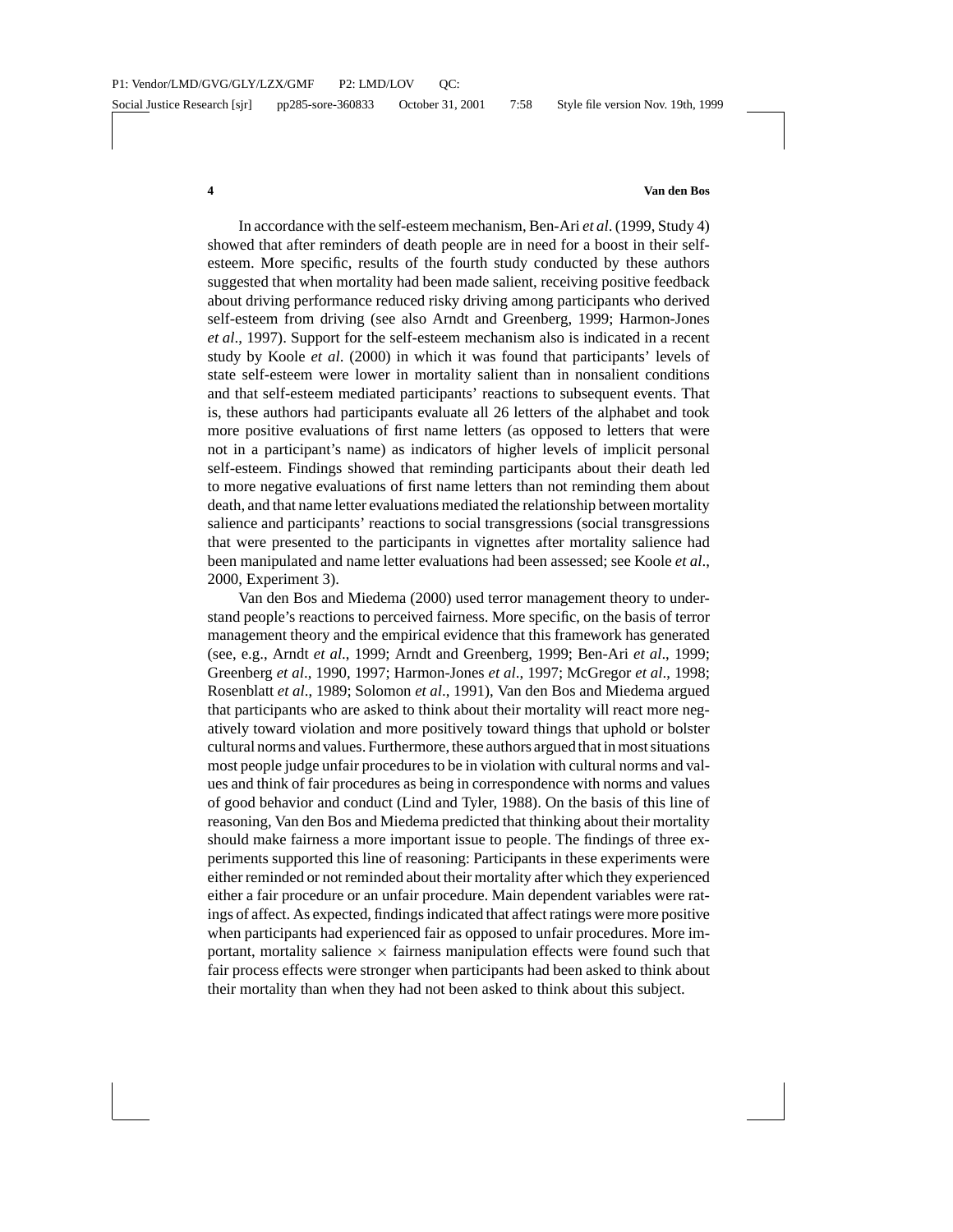In accordance with the self-esteem mechanism, Ben-Ari *et al*. (1999, Study 4) showed that after reminders of death people are in need for a boost in their selfesteem. More specific, results of the fourth study conducted by these authors suggested that when mortality had been made salient, receiving positive feedback about driving performance reduced risky driving among participants who derived self-esteem from driving (see also Arndt and Greenberg, 1999; Harmon-Jones *et al*., 1997). Support for the self-esteem mechanism also is indicated in a recent study by Koole *et al*. (2000) in which it was found that participants' levels of state self-esteem were lower in mortality salient than in nonsalient conditions and that self-esteem mediated participants' reactions to subsequent events. That is, these authors had participants evaluate all 26 letters of the alphabet and took more positive evaluations of first name letters (as opposed to letters that were not in a participant's name) as indicators of higher levels of implicit personal self-esteem. Findings showed that reminding participants about their death led to more negative evaluations of first name letters than not reminding them about death, and that name letter evaluations mediated the relationship between mortality salience and participants' reactions to social transgressions (social transgressions that were presented to the participants in vignettes after mortality salience had been manipulated and name letter evaluations had been assessed; see Koole *et al*., 2000, Experiment 3).

Van den Bos and Miedema (2000) used terror management theory to understand people's reactions to perceived fairness. More specific, on the basis of terror management theory and the empirical evidence that this framework has generated (see, e.g., Arndt *et al*., 1999; Arndt and Greenberg, 1999; Ben-Ari *et al*., 1999; Greenberg *et al*., 1990, 1997; Harmon-Jones *et al*., 1997; McGregor *et al*., 1998; Rosenblatt *et al*., 1989; Solomon *et al*., 1991), Van den Bos and Miedema argued that participants who are asked to think about their mortality will react more negatively toward violation and more positively toward things that uphold or bolster cultural norms and values. Furthermore, these authors argued that in most situations most people judge unfair procedures to be in violation with cultural norms and values and think of fair procedures as being in correspondence with norms and values of good behavior and conduct (Lind and Tyler, 1988). On the basis of this line of reasoning, Van den Bos and Miedema predicted that thinking about their mortality should make fairness a more important issue to people. The findings of three experiments supported this line of reasoning: Participants in these experiments were either reminded or not reminded about their mortality after which they experienced either a fair procedure or an unfair procedure. Main dependent variables were ratings of affect. As expected, findings indicated that affect ratings were more positive when participants had experienced fair as opposed to unfair procedures. More important, mortality salience  $\times$  fairness manipulation effects were found such that fair process effects were stronger when participants had been asked to think about their mortality than when they had not been asked to think about this subject.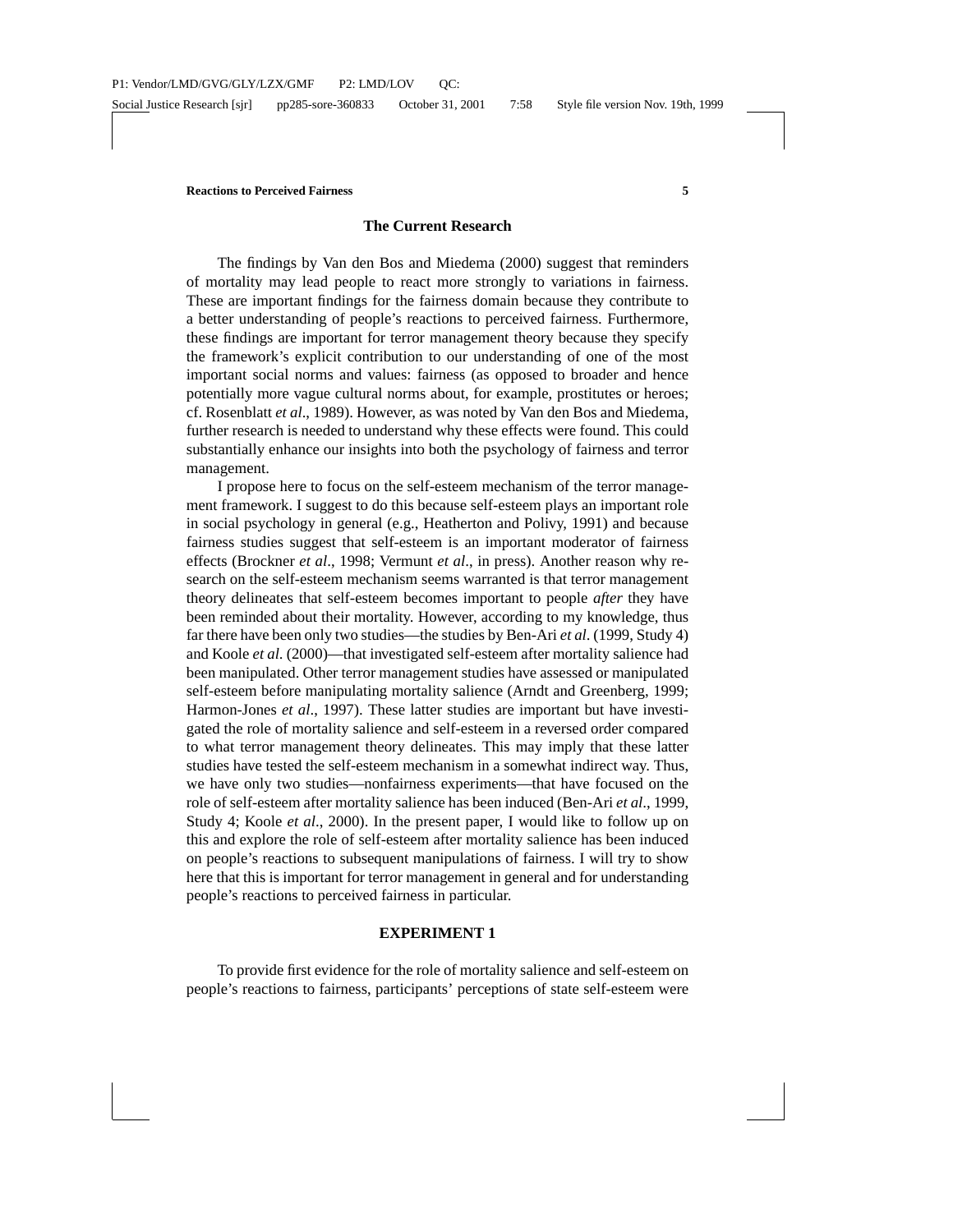### **The Current Research**

The findings by Van den Bos and Miedema (2000) suggest that reminders of mortality may lead people to react more strongly to variations in fairness. These are important findings for the fairness domain because they contribute to a better understanding of people's reactions to perceived fairness. Furthermore, these findings are important for terror management theory because they specify the framework's explicit contribution to our understanding of one of the most important social norms and values: fairness (as opposed to broader and hence potentially more vague cultural norms about, for example, prostitutes or heroes; cf. Rosenblatt *et al*., 1989). However, as was noted by Van den Bos and Miedema, further research is needed to understand why these effects were found. This could substantially enhance our insights into both the psychology of fairness and terror management.

I propose here to focus on the self-esteem mechanism of the terror management framework. I suggest to do this because self-esteem plays an important role in social psychology in general (e.g., Heatherton and Polivy, 1991) and because fairness studies suggest that self-esteem is an important moderator of fairness effects (Brockner *et al*., 1998; Vermunt *et al*., in press). Another reason why research on the self-esteem mechanism seems warranted is that terror management theory delineates that self-esteem becomes important to people *after* they have been reminded about their mortality. However, according to my knowledge, thus far there have been only two studies—the studies by Ben-Ari *et al*. (1999, Study 4) and Koole *et al*. (2000)—that investigated self-esteem after mortality salience had been manipulated. Other terror management studies have assessed or manipulated self-esteem before manipulating mortality salience (Arndt and Greenberg, 1999; Harmon-Jones *et al*., 1997). These latter studies are important but have investigated the role of mortality salience and self-esteem in a reversed order compared to what terror management theory delineates. This may imply that these latter studies have tested the self-esteem mechanism in a somewhat indirect way. Thus, we have only two studies—nonfairness experiments—that have focused on the role of self-esteem after mortality salience has been induced (Ben-Ari *et al*., 1999, Study 4; Koole *et al*., 2000). In the present paper, I would like to follow up on this and explore the role of self-esteem after mortality salience has been induced on people's reactions to subsequent manipulations of fairness. I will try to show here that this is important for terror management in general and for understanding people's reactions to perceived fairness in particular.

## **EXPERIMENT 1**

To provide first evidence for the role of mortality salience and self-esteem on people's reactions to fairness, participants' perceptions of state self-esteem were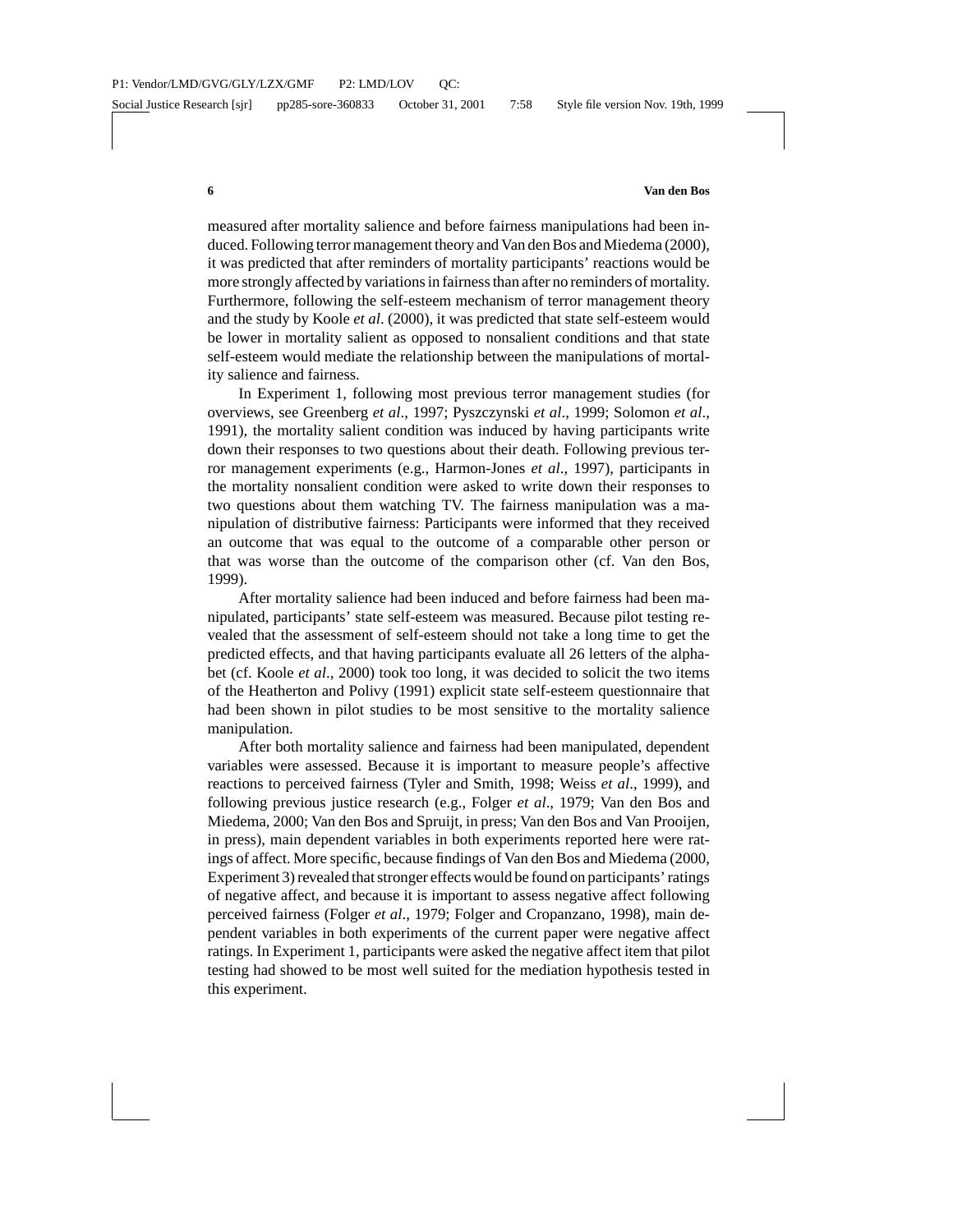measured after mortality salience and before fairness manipulations had been induced. Following terror management theory and Van den Bos and Miedema (2000), it was predicted that after reminders of mortality participants' reactions would be more strongly affected by variations in fairness than after no reminders of mortality. Furthermore, following the self-esteem mechanism of terror management theory and the study by Koole *et al*. (2000), it was predicted that state self-esteem would be lower in mortality salient as opposed to nonsalient conditions and that state self-esteem would mediate the relationship between the manipulations of mortality salience and fairness.

In Experiment 1, following most previous terror management studies (for overviews, see Greenberg *et al*., 1997; Pyszczynski *et al*., 1999; Solomon *et al*., 1991), the mortality salient condition was induced by having participants write down their responses to two questions about their death. Following previous terror management experiments (e.g., Harmon-Jones *et al*., 1997), participants in the mortality nonsalient condition were asked to write down their responses to two questions about them watching TV. The fairness manipulation was a manipulation of distributive fairness: Participants were informed that they received an outcome that was equal to the outcome of a comparable other person or that was worse than the outcome of the comparison other (cf. Van den Bos, 1999).

After mortality salience had been induced and before fairness had been manipulated, participants' state self-esteem was measured. Because pilot testing revealed that the assessment of self-esteem should not take a long time to get the predicted effects, and that having participants evaluate all 26 letters of the alphabet (cf. Koole *et al*., 2000) took too long, it was decided to solicit the two items of the Heatherton and Polivy (1991) explicit state self-esteem questionnaire that had been shown in pilot studies to be most sensitive to the mortality salience manipulation.

After both mortality salience and fairness had been manipulated, dependent variables were assessed. Because it is important to measure people's affective reactions to perceived fairness (Tyler and Smith, 1998; Weiss *et al*., 1999), and following previous justice research (e.g., Folger *et al*., 1979; Van den Bos and Miedema, 2000; Van den Bos and Spruijt, in press; Van den Bos and Van Prooijen, in press), main dependent variables in both experiments reported here were ratings of affect. More specific, because findings of Van den Bos and Miedema (2000, Experiment 3) revealed that stronger effects would be found on participants' ratings of negative affect, and because it is important to assess negative affect following perceived fairness (Folger *et al*., 1979; Folger and Cropanzano, 1998), main dependent variables in both experiments of the current paper were negative affect ratings. In Experiment 1, participants were asked the negative affect item that pilot testing had showed to be most well suited for the mediation hypothesis tested in this experiment.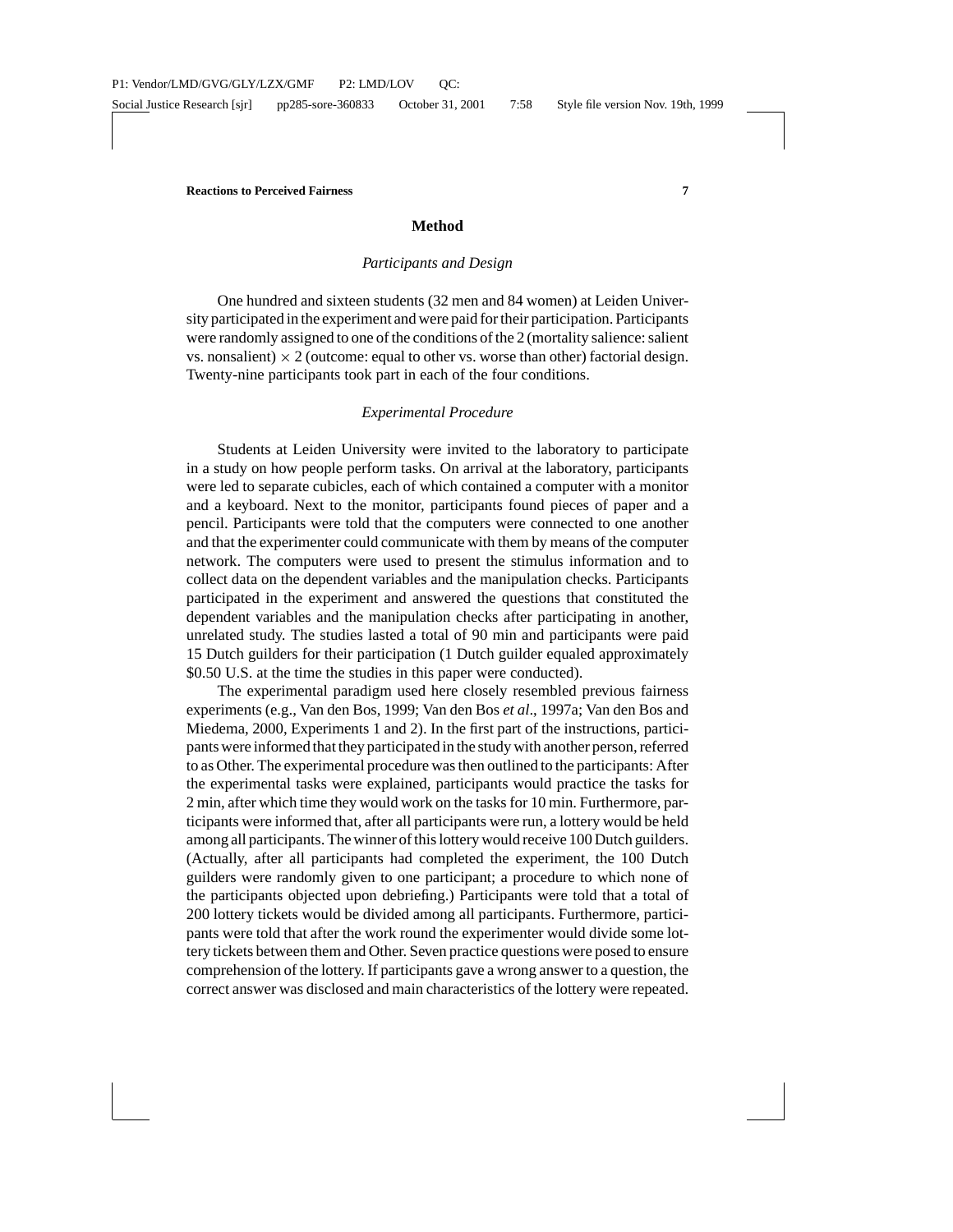#### **Method**

## *Participants and Design*

One hundred and sixteen students (32 men and 84 women) at Leiden University participated in the experiment and were paid for their participation. Participants were randomly assigned to one of the conditions of the 2 (mortality salience: salient vs. nonsalient)  $\times$  2 (outcome: equal to other vs. worse than other) factorial design. Twenty-nine participants took part in each of the four conditions.

## *Experimental Procedure*

Students at Leiden University were invited to the laboratory to participate in a study on how people perform tasks. On arrival at the laboratory, participants were led to separate cubicles, each of which contained a computer with a monitor and a keyboard. Next to the monitor, participants found pieces of paper and a pencil. Participants were told that the computers were connected to one another and that the experimenter could communicate with them by means of the computer network. The computers were used to present the stimulus information and to collect data on the dependent variables and the manipulation checks. Participants participated in the experiment and answered the questions that constituted the dependent variables and the manipulation checks after participating in another, unrelated study. The studies lasted a total of 90 min and participants were paid 15 Dutch guilders for their participation (1 Dutch guilder equaled approximately \$0.50 U.S. at the time the studies in this paper were conducted).

The experimental paradigm used here closely resembled previous fairness experiments (e.g., Van den Bos, 1999; Van den Bos *et al*., 1997a; Van den Bos and Miedema, 2000, Experiments 1 and 2). In the first part of the instructions, participants were informed that they participated in the study with another person, referred to as Other. The experimental procedure was then outlined to the participants: After the experimental tasks were explained, participants would practice the tasks for 2 min, after which time they would work on the tasks for 10 min. Furthermore, participants were informed that, after all participants were run, a lottery would be held among all participants. The winner of this lottery would receive 100 Dutch guilders. (Actually, after all participants had completed the experiment, the 100 Dutch guilders were randomly given to one participant; a procedure to which none of the participants objected upon debriefing.) Participants were told that a total of 200 lottery tickets would be divided among all participants. Furthermore, participants were told that after the work round the experimenter would divide some lottery tickets between them and Other. Seven practice questions were posed to ensure comprehension of the lottery. If participants gave a wrong answer to a question, the correct answer was disclosed and main characteristics of the lottery were repeated.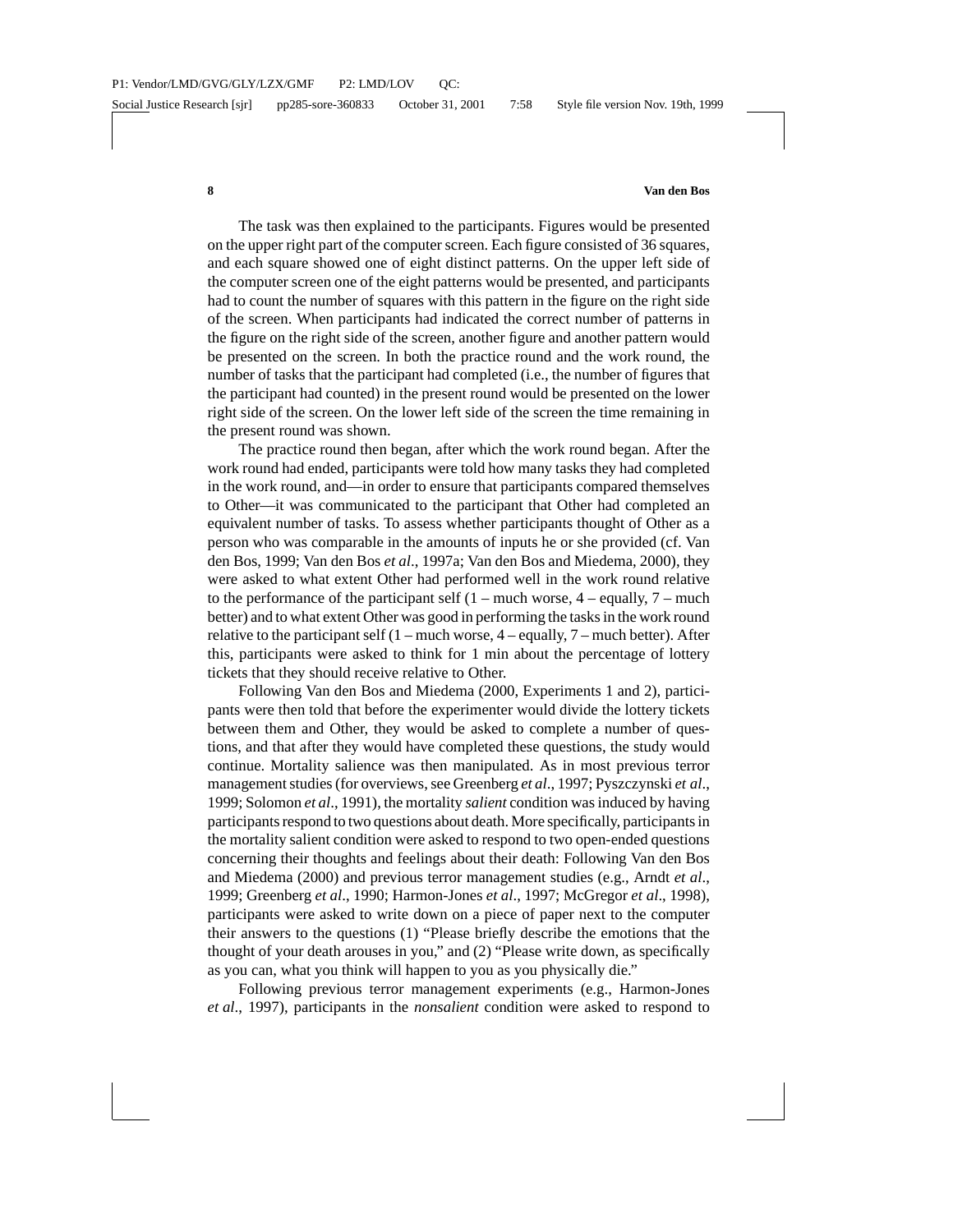The task was then explained to the participants. Figures would be presented on the upper right part of the computer screen. Each figure consisted of 36 squares, and each square showed one of eight distinct patterns. On the upper left side of the computer screen one of the eight patterns would be presented, and participants had to count the number of squares with this pattern in the figure on the right side of the screen. When participants had indicated the correct number of patterns in the figure on the right side of the screen, another figure and another pattern would be presented on the screen. In both the practice round and the work round, the number of tasks that the participant had completed (i.e., the number of figures that the participant had counted) in the present round would be presented on the lower right side of the screen. On the lower left side of the screen the time remaining in the present round was shown.

The practice round then began, after which the work round began. After the work round had ended, participants were told how many tasks they had completed in the work round, and—in order to ensure that participants compared themselves to Other—it was communicated to the participant that Other had completed an equivalent number of tasks. To assess whether participants thought of Other as a person who was comparable in the amounts of inputs he or she provided (cf. Van den Bos, 1999; Van den Bos *et al*., 1997a; Van den Bos and Miedema, 2000), they were asked to what extent Other had performed well in the work round relative to the performance of the participant self  $(1 - \text{much worse}, 4 - \text{equally}, 7 - \text{much}$ better) and to what extent Other was good in performing the tasks in the work round relative to the participant self  $(1 - \text{much worse}, 4 - \text{equally}, 7 - \text{much better})$ . After this, participants were asked to think for 1 min about the percentage of lottery tickets that they should receive relative to Other.

Following Van den Bos and Miedema (2000, Experiments 1 and 2), participants were then told that before the experimenter would divide the lottery tickets between them and Other, they would be asked to complete a number of questions, and that after they would have completed these questions, the study would continue. Mortality salience was then manipulated. As in most previous terror management studies (for overviews, see Greenberg *et al*., 1997; Pyszczynski *et al*., 1999; Solomon *et al*., 1991), the mortality *salient* condition was induced by having participants respond to two questions about death. More specifically, participants in the mortality salient condition were asked to respond to two open-ended questions concerning their thoughts and feelings about their death: Following Van den Bos and Miedema (2000) and previous terror management studies (e.g., Arndt *et al*., 1999; Greenberg *et al*., 1990; Harmon-Jones *et al*., 1997; McGregor *et al*., 1998), participants were asked to write down on a piece of paper next to the computer their answers to the questions (1) "Please briefly describe the emotions that the thought of your death arouses in you," and (2) "Please write down, as specifically as you can, what you think will happen to you as you physically die."

Following previous terror management experiments (e.g., Harmon-Jones *et al*., 1997), participants in the *nonsalient* condition were asked to respond to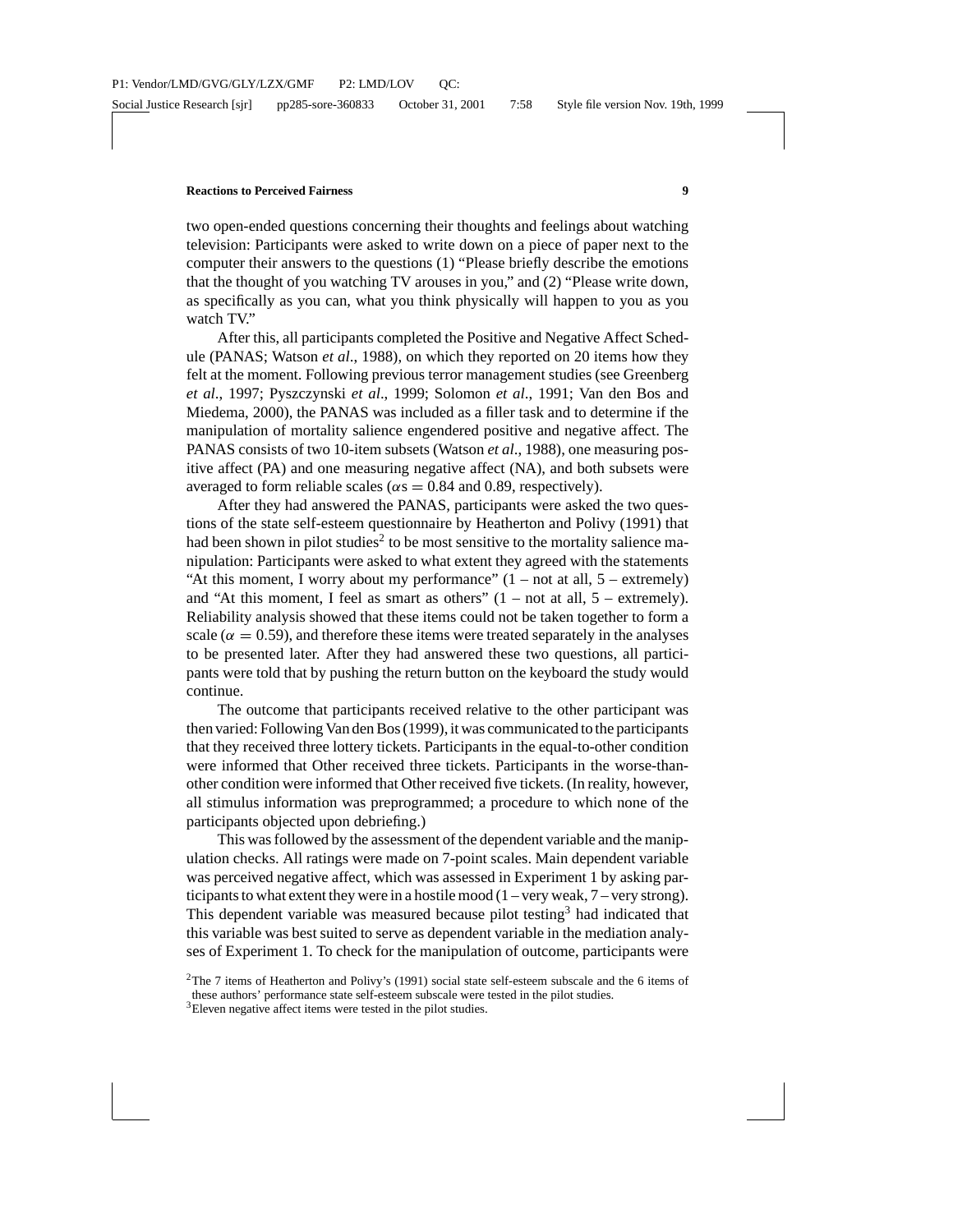two open-ended questions concerning their thoughts and feelings about watching television: Participants were asked to write down on a piece of paper next to the computer their answers to the questions (1) "Please briefly describe the emotions that the thought of you watching TV arouses in you," and (2) "Please write down, as specifically as you can, what you think physically will happen to you as you watch TV"

After this, all participants completed the Positive and Negative Affect Schedule (PANAS; Watson *et al*., 1988), on which they reported on 20 items how they felt at the moment. Following previous terror management studies (see Greenberg *et al*., 1997; Pyszczynski *et al*., 1999; Solomon *et al*., 1991; Van den Bos and Miedema, 2000), the PANAS was included as a filler task and to determine if the manipulation of mortality salience engendered positive and negative affect. The PANAS consists of two 10-item subsets (Watson *et al*., 1988), one measuring positive affect (PA) and one measuring negative affect (NA), and both subsets were averaged to form reliable scales ( $\alpha s = 0.84$  and 0.89, respectively).

After they had answered the PANAS, participants were asked the two questions of the state self-esteem questionnaire by Heatherton and Polivy (1991) that had been shown in pilot studies<sup>2</sup> to be most sensitive to the mortality salience manipulation: Participants were asked to what extent they agreed with the statements "At this moment, I worry about my performance"  $(1 - not at all, 5 - extremely)$ and "At this moment, I feel as smart as others"  $(1 - not at all, 5 - extremely)$ . Reliability analysis showed that these items could not be taken together to form a scale ( $\alpha = 0.59$ ), and therefore these items were treated separately in the analyses to be presented later. After they had answered these two questions, all participants were told that by pushing the return button on the keyboard the study would continue.

The outcome that participants received relative to the other participant was then varied: Following Van den Bos (1999), it was communicated to the participants that they received three lottery tickets. Participants in the equal-to-other condition were informed that Other received three tickets. Participants in the worse-thanother condition were informed that Other received five tickets. (In reality, however, all stimulus information was preprogrammed; a procedure to which none of the participants objected upon debriefing.)

This was followed by the assessment of the dependent variable and the manipulation checks. All ratings were made on 7-point scales. Main dependent variable was perceived negative affect, which was assessed in Experiment 1 by asking participants to what extent they were in a hostile mood  $(1 - \text{very weak}, 7 - \text{very strong}).$ This dependent variable was measured because pilot testing<sup>3</sup> had indicated that this variable was best suited to serve as dependent variable in the mediation analyses of Experiment 1. To check for the manipulation of outcome, participants were

 $2$ The 7 items of Heatherton and Polivy's (1991) social state self-esteem subscale and the 6 items of these authors' performance state self-esteem subscale were tested in the pilot studies.

<sup>&</sup>lt;sup>3</sup>Eleven negative affect items were tested in the pilot studies.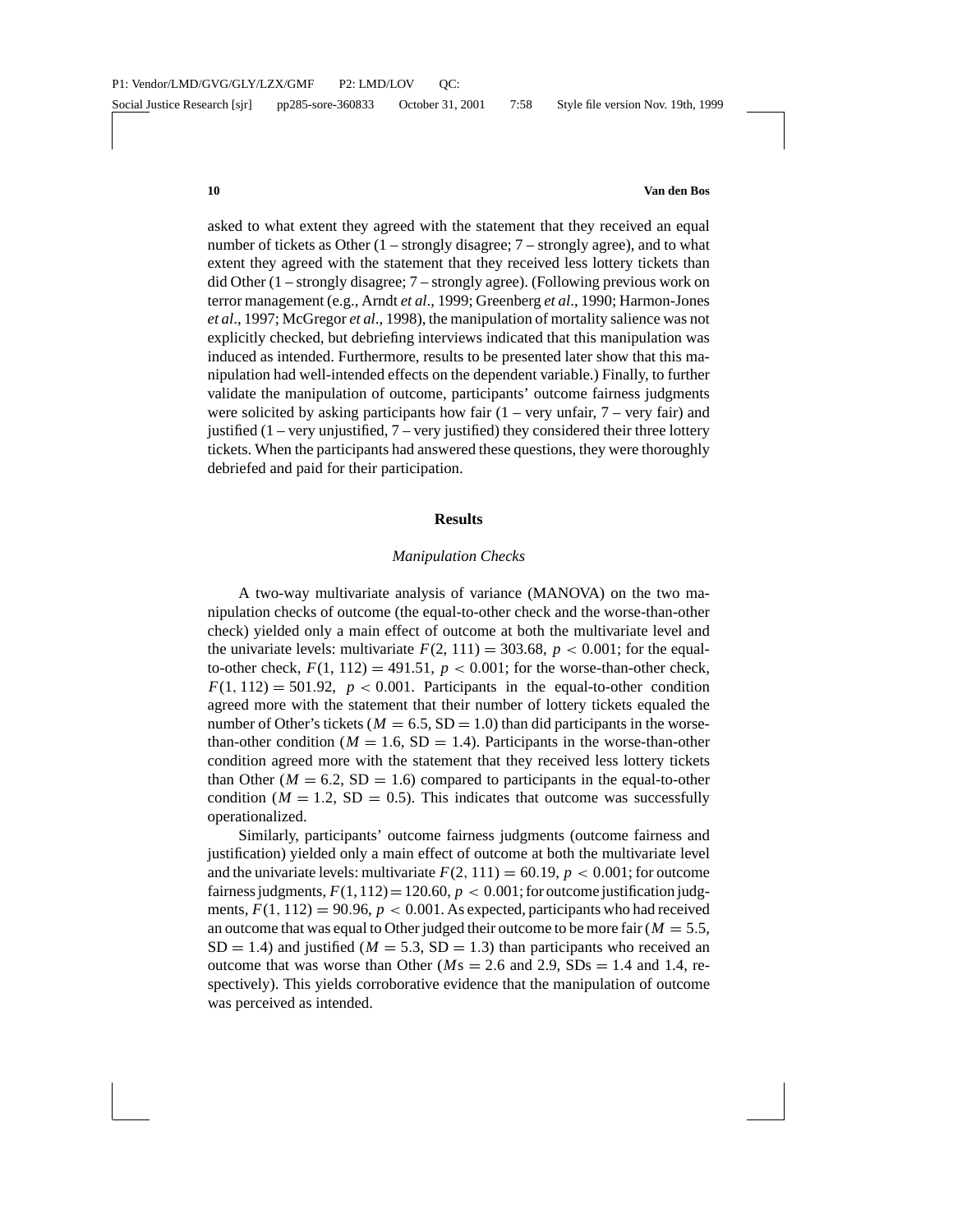asked to what extent they agreed with the statement that they received an equal number of tickets as Other (1 – strongly disagree; 7 – strongly agree), and to what extent they agreed with the statement that they received less lottery tickets than did Other (1 – strongly disagree; 7 – strongly agree). (Following previous work on terror management (e.g., Arndt *et al*., 1999; Greenberg *et al*., 1990; Harmon-Jones *et al*., 1997; McGregor *et al*., 1998), the manipulation of mortality salience was not explicitly checked, but debriefing interviews indicated that this manipulation was induced as intended. Furthermore, results to be presented later show that this manipulation had well-intended effects on the dependent variable.) Finally, to further validate the manipulation of outcome, participants' outcome fairness judgments were solicited by asking participants how fair  $(1 - \text{very unfair}, 7 - \text{very fair})$  and justified  $(1 - \text{very unjustified}, 7 - \text{very justified})$  they considered their three lottery tickets. When the participants had answered these questions, they were thoroughly debriefed and paid for their participation.

#### **Results**

## *Manipulation Checks*

A two-way multivariate analysis of variance (MANOVA) on the two manipulation checks of outcome (the equal-to-other check and the worse-than-other check) yielded only a main effect of outcome at both the multivariate level and the univariate levels: multivariate  $F(2, 111) = 303.68$ ,  $p < 0.001$ ; for the equalto-other check,  $F(1, 112) = 491.51$ ,  $p < 0.001$ ; for the worse-than-other check,  $F(1, 112) = 501.92$ ,  $p < 0.001$ . Participants in the equal-to-other condition agreed more with the statement that their number of lottery tickets equaled the number of Other's tickets ( $M = 6.5$ , SD = 1.0) than did participants in the worsethan-other condition ( $M = 1.6$ , SD = 1.4). Participants in the worse-than-other condition agreed more with the statement that they received less lottery tickets than Other ( $M = 6.2$ , SD = 1.6) compared to participants in the equal-to-other condition ( $M = 1.2$ , SD = 0.5). This indicates that outcome was successfully operationalized.

Similarly, participants' outcome fairness judgments (outcome fairness and justification) yielded only a main effect of outcome at both the multivariate level and the univariate levels: multivariate  $F(2, 111) = 60.19$ ,  $p < 0.001$ ; for outcome fairness judgments,  $F(1, 112) = 120.60$ ,  $p < 0.001$ ; for outcome justification judgments,  $F(1, 112) = 90.96$ ,  $p < 0.001$ . As expected, participants who had received an outcome that was equal to Other judged their outcome to be more fair  $(M = 5.5,$  $SD = 1.4$ ) and justified ( $M = 5.3$ ,  $SD = 1.3$ ) than participants who received an outcome that was worse than Other ( $Ms = 2.6$  and 2.9, SDs = 1.4 and 1.4, respectively). This yields corroborative evidence that the manipulation of outcome was perceived as intended.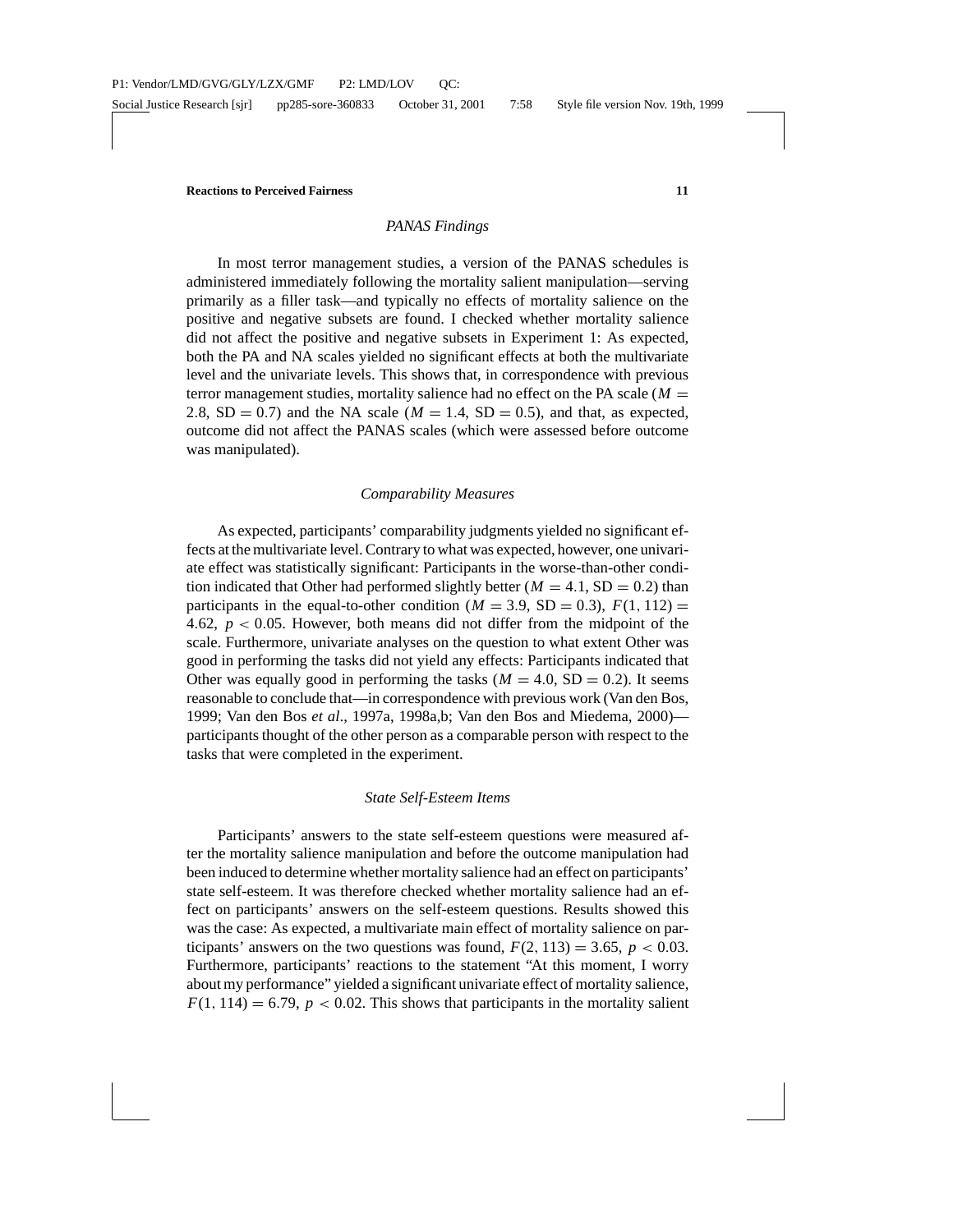## *PANAS Findings*

In most terror management studies, a version of the PANAS schedules is administered immediately following the mortality salient manipulation—serving primarily as a filler task—and typically no effects of mortality salience on the positive and negative subsets are found. I checked whether mortality salience did not affect the positive and negative subsets in Experiment 1: As expected, both the PA and NA scales yielded no significant effects at both the multivariate level and the univariate levels. This shows that, in correspondence with previous terror management studies, mortality salience had no effect on the PA scale  $(M =$ 2.8, SD = 0.7) and the NA scale ( $M = 1.4$ , SD = 0.5), and that, as expected, outcome did not affect the PANAS scales (which were assessed before outcome was manipulated).

## *Comparability Measures*

As expected, participants' comparability judgments yielded no significant effects at the multivariate level. Contrary to what was expected, however, one univariate effect was statistically significant: Participants in the worse-than-other condition indicated that Other had performed slightly better ( $M = 4.1$ , SD = 0.2) than participants in the equal-to-other condition ( $M = 3.9$ , SD = 0.3),  $F(1, 112)$  = 4.62,  $p < 0.05$ . However, both means did not differ from the midpoint of the scale. Furthermore, univariate analyses on the question to what extent Other was good in performing the tasks did not yield any effects: Participants indicated that Other was equally good in performing the tasks ( $M = 4.0$ , SD = 0.2). It seems reasonable to conclude that—in correspondence with previous work (Van den Bos, 1999; Van den Bos *et al*., 1997a, 1998a,b; Van den Bos and Miedema, 2000) participants thought of the other person as a comparable person with respect to the tasks that were completed in the experiment.

## *State Self-Esteem Items*

Participants' answers to the state self-esteem questions were measured after the mortality salience manipulation and before the outcome manipulation had been induced to determine whether mortality salience had an effect on participants' state self-esteem. It was therefore checked whether mortality salience had an effect on participants' answers on the self-esteem questions. Results showed this was the case: As expected, a multivariate main effect of mortality salience on participants' answers on the two questions was found,  $F(2, 113) = 3.65$ ,  $p < 0.03$ . Furthermore, participants' reactions to the statement "At this moment, I worry about my performance" yielded a significant univariate effect of mortality salience,  $F(1, 114) = 6.79$ ,  $p < 0.02$ . This shows that participants in the mortality salient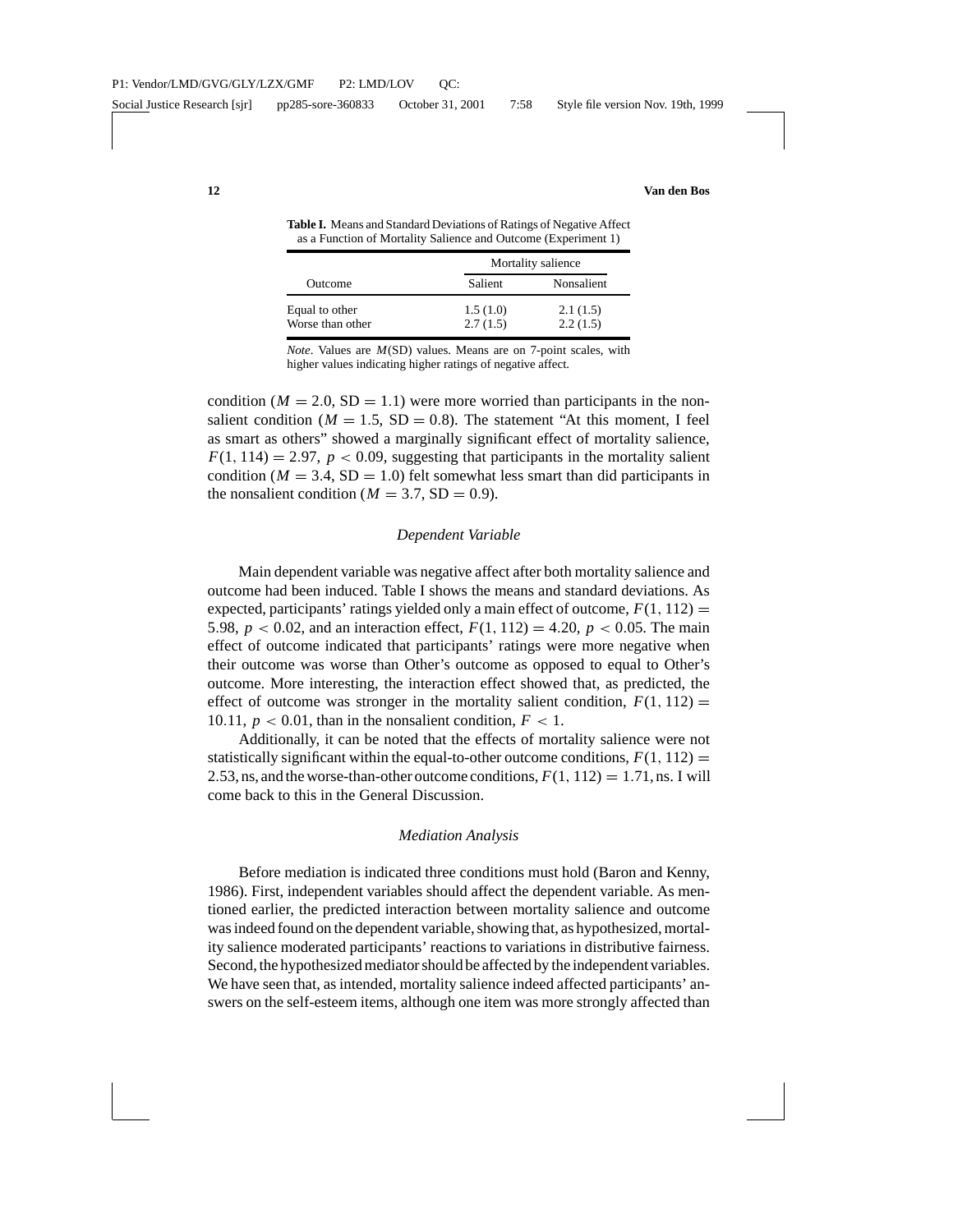|                                    | Mortality salience   |                      |  |
|------------------------------------|----------------------|----------------------|--|
| Outcome                            | Salient              | Nonsalient           |  |
| Equal to other<br>Worse than other | 1.5(1.0)<br>2.7(1.5) | 2.1(1.5)<br>2.2(1.5) |  |

**Table I.** Means and Standard Deviations of Ratings of Negative Affect as a Function of Mortality Salience and Outcome (Experiment 1)

*Note*. Values are *M*(SD) values. Means are on 7-point scales, with higher values indicating higher ratings of negative affect.

condition ( $M = 2.0$ , SD = 1.1) were more worried than participants in the nonsalient condition ( $M = 1.5$ , SD = 0.8). The statement "At this moment, I feel as smart as others" showed a marginally significant effect of mortality salience,  $F(1, 114) = 2.97$ ,  $p < 0.09$ , suggesting that participants in the mortality salient condition ( $M = 3.4$ , SD = 1.0) felt somewhat less smart than did participants in the nonsalient condition ( $M = 3.7$ , SD = 0.9).

### *Dependent Variable*

Main dependent variable was negative affect after both mortality salience and outcome had been induced. Table I shows the means and standard deviations. As expected, participants' ratings yielded only a main effect of outcome,  $F(1, 112) =$ 5.98,  $p < 0.02$ , and an interaction effect,  $F(1, 112) = 4.20$ ,  $p < 0.05$ . The main effect of outcome indicated that participants' ratings were more negative when their outcome was worse than Other's outcome as opposed to equal to Other's outcome. More interesting, the interaction effect showed that, as predicted, the effect of outcome was stronger in the mortality salient condition,  $F(1, 112) =$ 10.11,  $p < 0.01$ , than in the nonsalient condition,  $F < 1$ .

Additionally, it can be noted that the effects of mortality salience were not statistically significant within the equal-to-other outcome conditions,  $F(1, 112) =$ 2.53, ns, and the worse-than-other outcome conditions,  $F(1, 112) = 1.71$ , ns. I will come back to this in the General Discussion.

### *Mediation Analysis*

Before mediation is indicated three conditions must hold (Baron and Kenny, 1986). First, independent variables should affect the dependent variable. As mentioned earlier, the predicted interaction between mortality salience and outcome was indeed found on the dependent variable, showing that, as hypothesized, mortality salience moderated participants' reactions to variations in distributive fairness. Second, the hypothesized mediator should be affected by the independent variables. We have seen that, as intended, mortality salience indeed affected participants' answers on the self-esteem items, although one item was more strongly affected than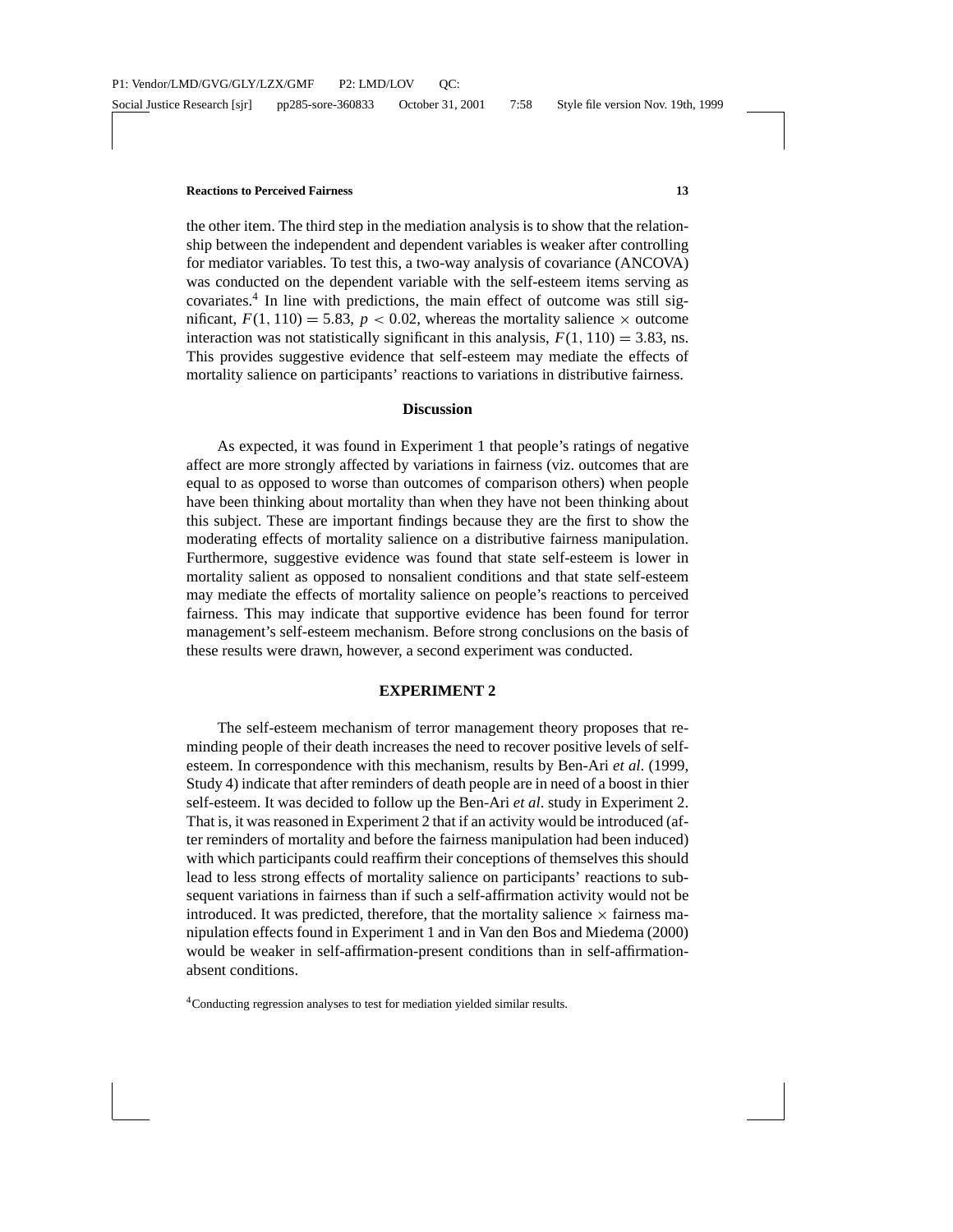the other item. The third step in the mediation analysis is to show that the relationship between the independent and dependent variables is weaker after controlling for mediator variables. To test this, a two-way analysis of covariance (ANCOVA) was conducted on the dependent variable with the self-esteem items serving as covariates.4 In line with predictions, the main effect of outcome was still significant,  $F(1, 110) = 5.83$ ,  $p < 0.02$ , whereas the mortality salience  $\times$  outcome interaction was not statistically significant in this analysis,  $F(1, 110) = 3.83$ , ns. This provides suggestive evidence that self-esteem may mediate the effects of mortality salience on participants' reactions to variations in distributive fairness.

## **Discussion**

As expected, it was found in Experiment 1 that people's ratings of negative affect are more strongly affected by variations in fairness (viz. outcomes that are equal to as opposed to worse than outcomes of comparison others) when people have been thinking about mortality than when they have not been thinking about this subject. These are important findings because they are the first to show the moderating effects of mortality salience on a distributive fairness manipulation. Furthermore, suggestive evidence was found that state self-esteem is lower in mortality salient as opposed to nonsalient conditions and that state self-esteem may mediate the effects of mortality salience on people's reactions to perceived fairness. This may indicate that supportive evidence has been found for terror management's self-esteem mechanism. Before strong conclusions on the basis of these results were drawn, however, a second experiment was conducted.

## **EXPERIMENT 2**

The self-esteem mechanism of terror management theory proposes that reminding people of their death increases the need to recover positive levels of selfesteem. In correspondence with this mechanism, results by Ben-Ari *et al*. (1999, Study 4) indicate that after reminders of death people are in need of a boost in thier self-esteem. It was decided to follow up the Ben-Ari *et al*. study in Experiment 2. That is, it was reasoned in Experiment 2 that if an activity would be introduced (after reminders of mortality and before the fairness manipulation had been induced) with which participants could reaffirm their conceptions of themselves this should lead to less strong effects of mortality salience on participants' reactions to subsequent variations in fairness than if such a self-affirmation activity would not be introduced. It was predicted, therefore, that the mortality salience  $\times$  fairness manipulation effects found in Experiment 1 and in Van den Bos and Miedema (2000) would be weaker in self-affirmation-present conditions than in self-affirmationabsent conditions.

<sup>4</sup>Conducting regression analyses to test for mediation yielded similar results.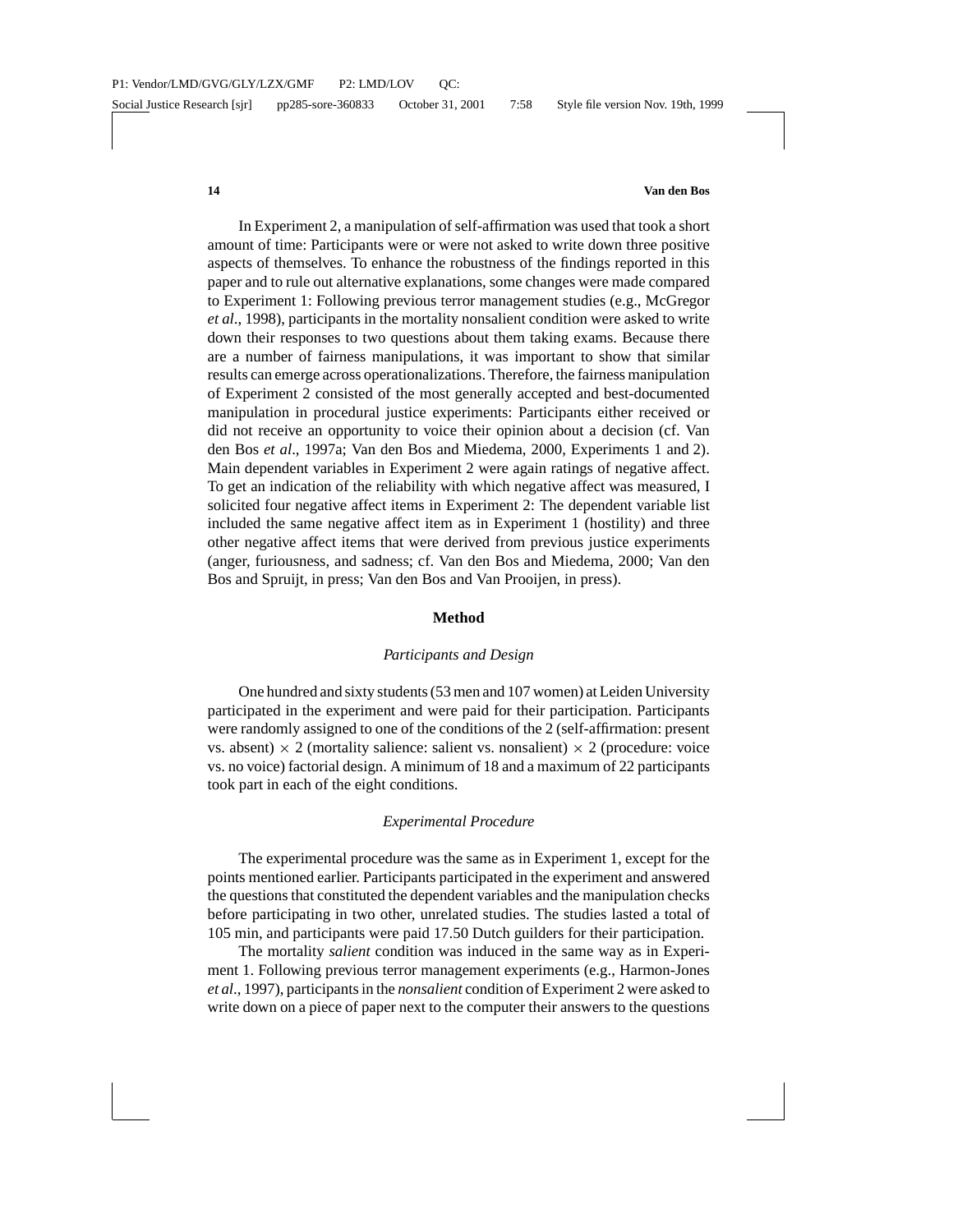In Experiment 2, a manipulation of self-affirmation was used that took a short amount of time: Participants were or were not asked to write down three positive aspects of themselves. To enhance the robustness of the findings reported in this paper and to rule out alternative explanations, some changes were made compared to Experiment 1: Following previous terror management studies (e.g., McGregor *et al*., 1998), participants in the mortality nonsalient condition were asked to write down their responses to two questions about them taking exams. Because there are a number of fairness manipulations, it was important to show that similar results can emerge across operationalizations. Therefore, the fairness manipulation of Experiment 2 consisted of the most generally accepted and best-documented manipulation in procedural justice experiments: Participants either received or did not receive an opportunity to voice their opinion about a decision (cf. Van den Bos *et al*., 1997a; Van den Bos and Miedema, 2000, Experiments 1 and 2). Main dependent variables in Experiment 2 were again ratings of negative affect. To get an indication of the reliability with which negative affect was measured, I solicited four negative affect items in Experiment 2: The dependent variable list included the same negative affect item as in Experiment 1 (hostility) and three other negative affect items that were derived from previous justice experiments (anger, furiousness, and sadness; cf. Van den Bos and Miedema, 2000; Van den Bos and Spruijt, in press; Van den Bos and Van Prooijen, in press).

## **Method**

#### *Participants and Design*

One hundred and sixty students (53 men and 107 women) at Leiden University participated in the experiment and were paid for their participation. Participants were randomly assigned to one of the conditions of the 2 (self-affirmation: present vs. absent)  $\times$  2 (mortality salience: salient vs. nonsalient)  $\times$  2 (procedure: voice vs. no voice) factorial design. A minimum of 18 and a maximum of 22 participants took part in each of the eight conditions.

#### *Experimental Procedure*

The experimental procedure was the same as in Experiment 1, except for the points mentioned earlier. Participants participated in the experiment and answered the questions that constituted the dependent variables and the manipulation checks before participating in two other, unrelated studies. The studies lasted a total of 105 min, and participants were paid 17.50 Dutch guilders for their participation.

The mortality *salient* condition was induced in the same way as in Experiment 1. Following previous terror management experiments (e.g., Harmon-Jones *et al*., 1997), participants in the *nonsalient* condition of Experiment 2 were asked to write down on a piece of paper next to the computer their answers to the questions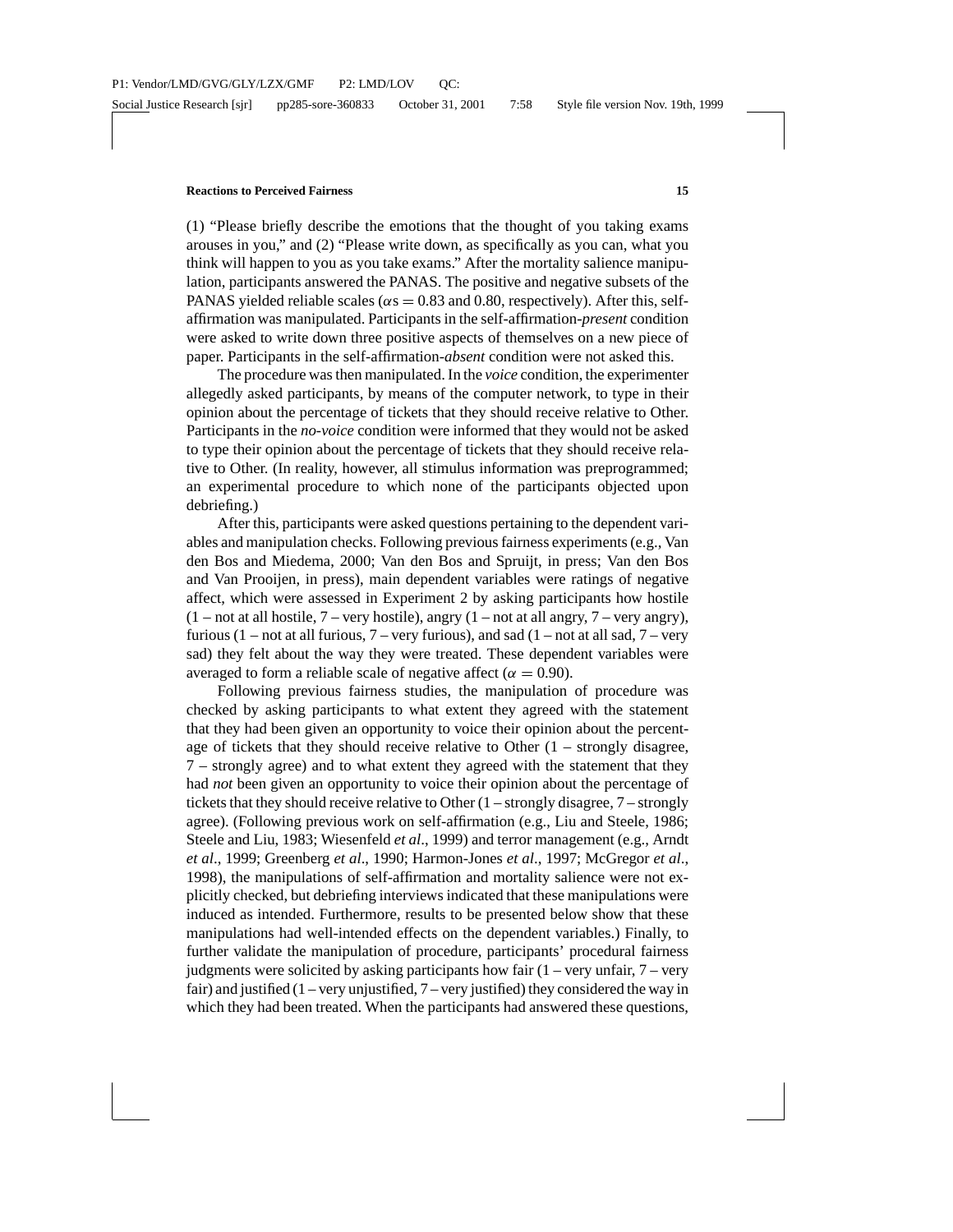(1) "Please briefly describe the emotions that the thought of you taking exams arouses in you," and (2) "Please write down, as specifically as you can, what you think will happen to you as you take exams." After the mortality salience manipulation, participants answered the PANAS. The positive and negative subsets of the PANAS yielded reliable scales ( $\alpha s = 0.83$  and 0.80, respectively). After this, selfaffirmation was manipulated. Participants in the self-affirmation-*present* condition were asked to write down three positive aspects of themselves on a new piece of paper. Participants in the self-affirmation-*absent* condition were not asked this.

The procedure was then manipulated. In the *voice* condition, the experimenter allegedly asked participants, by means of the computer network, to type in their opinion about the percentage of tickets that they should receive relative to Other. Participants in the *no-voice* condition were informed that they would not be asked to type their opinion about the percentage of tickets that they should receive relative to Other. (In reality, however, all stimulus information was preprogrammed; an experimental procedure to which none of the participants objected upon debriefing.)

After this, participants were asked questions pertaining to the dependent variables and manipulation checks. Following previous fairness experiments (e.g., Van den Bos and Miedema, 2000; Van den Bos and Spruijt, in press; Van den Bos and Van Prooijen, in press), main dependent variables were ratings of negative affect, which were assessed in Experiment 2 by asking participants how hostile  $(1 - not at all hostile, 7 - very hostile),$  angry  $(1 - not at all angry, 7 - very angry),$ furious (1 – not at all furious,  $7$  – very furious), and sad (1 – not at all sad,  $7$  – very sad) they felt about the way they were treated. These dependent variables were averaged to form a reliable scale of negative affect ( $\alpha = 0.90$ ).

Following previous fairness studies, the manipulation of procedure was checked by asking participants to what extent they agreed with the statement that they had been given an opportunity to voice their opinion about the percentage of tickets that they should receive relative to Other (1 – strongly disagree, 7 – strongly agree) and to what extent they agreed with the statement that they had *not* been given an opportunity to voice their opinion about the percentage of tickets that they should receive relative to Other (1 – strongly disagree, 7 – strongly agree). (Following previous work on self-affirmation (e.g., Liu and Steele, 1986; Steele and Liu, 1983; Wiesenfeld *et al*., 1999) and terror management (e.g., Arndt *et al*., 1999; Greenberg *et al*., 1990; Harmon-Jones *et al*., 1997; McGregor *et al*., 1998), the manipulations of self-affirmation and mortality salience were not explicitly checked, but debriefing interviews indicated that these manipulations were induced as intended. Furthermore, results to be presented below show that these manipulations had well-intended effects on the dependent variables.) Finally, to further validate the manipulation of procedure, participants' procedural fairness judgments were solicited by asking participants how fair  $(1 - \text{very unfair}, 7 - \text{very}$ fair) and justified  $(1 - \text{very unjustified}, 7 - \text{very justified})$  they considered the way in which they had been treated. When the participants had answered these questions,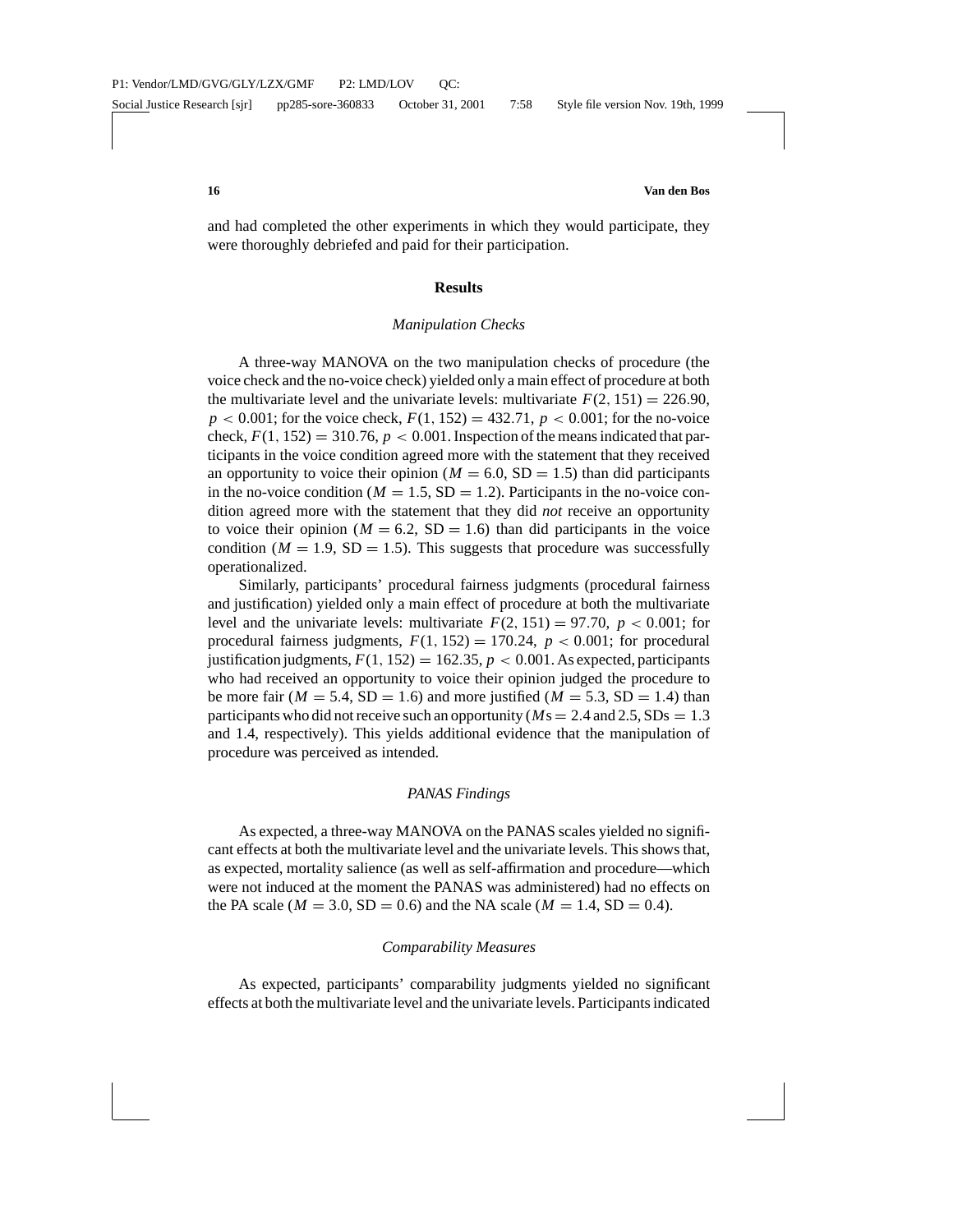and had completed the other experiments in which they would participate, they were thoroughly debriefed and paid for their participation.

## **Results**

#### *Manipulation Checks*

A three-way MANOVA on the two manipulation checks of procedure (the voice check and the no-voice check) yielded only a main effect of procedure at both the multivariate level and the univariate levels: multivariate  $F(2, 151) = 226.90$ ,  $p < 0.001$ ; for the voice check,  $F(1, 152) = 432.71$ ,  $p < 0.001$ ; for the no-voice check,  $F(1, 152) = 310.76$ ,  $p < 0.001$ . Inspection of the means indicated that participants in the voice condition agreed more with the statement that they received an opportunity to voice their opinion ( $M = 6.0$ , SD = 1.5) than did participants in the no-voice condition ( $M = 1.5$ , SD = 1.2). Participants in the no-voice condition agreed more with the statement that they did *not* receive an opportunity to voice their opinion ( $M = 6.2$ , SD = 1.6) than did participants in the voice condition ( $M = 1.9$ , SD = 1.5). This suggests that procedure was successfully operationalized.

Similarly, participants' procedural fairness judgments (procedural fairness and justification) yielded only a main effect of procedure at both the multivariate level and the univariate levels: multivariate  $F(2, 151) = 97.70$ ,  $p < 0.001$ ; for procedural fairness judgments,  $F(1, 152) = 170.24$ ,  $p < 0.001$ ; for procedural justification judgments,  $F(1, 152) = 162.35$ ,  $p < 0.001$ . As expected, participants who had received an opportunity to voice their opinion judged the procedure to be more fair ( $M = 5.4$ , SD = 1.6) and more justified ( $M = 5.3$ , SD = 1.4) than participants who did not receive such an opportunity ( $Ms = 2.4$  and  $2.5$ , SDs = 1.3 and 1.4, respectively). This yields additional evidence that the manipulation of procedure was perceived as intended.

## *PANAS Findings*

As expected, a three-way MANOVA on the PANAS scales yielded no significant effects at both the multivariate level and the univariate levels. This shows that, as expected, mortality salience (as well as self-affirmation and procedure—which were not induced at the moment the PANAS was administered) had no effects on the PA scale ( $M = 3.0$ , SD = 0.6) and the NA scale ( $M = 1.4$ , SD = 0.4).

### *Comparability Measures*

As expected, participants' comparability judgments yielded no significant effects at both the multivariate level and the univariate levels. Participants indicated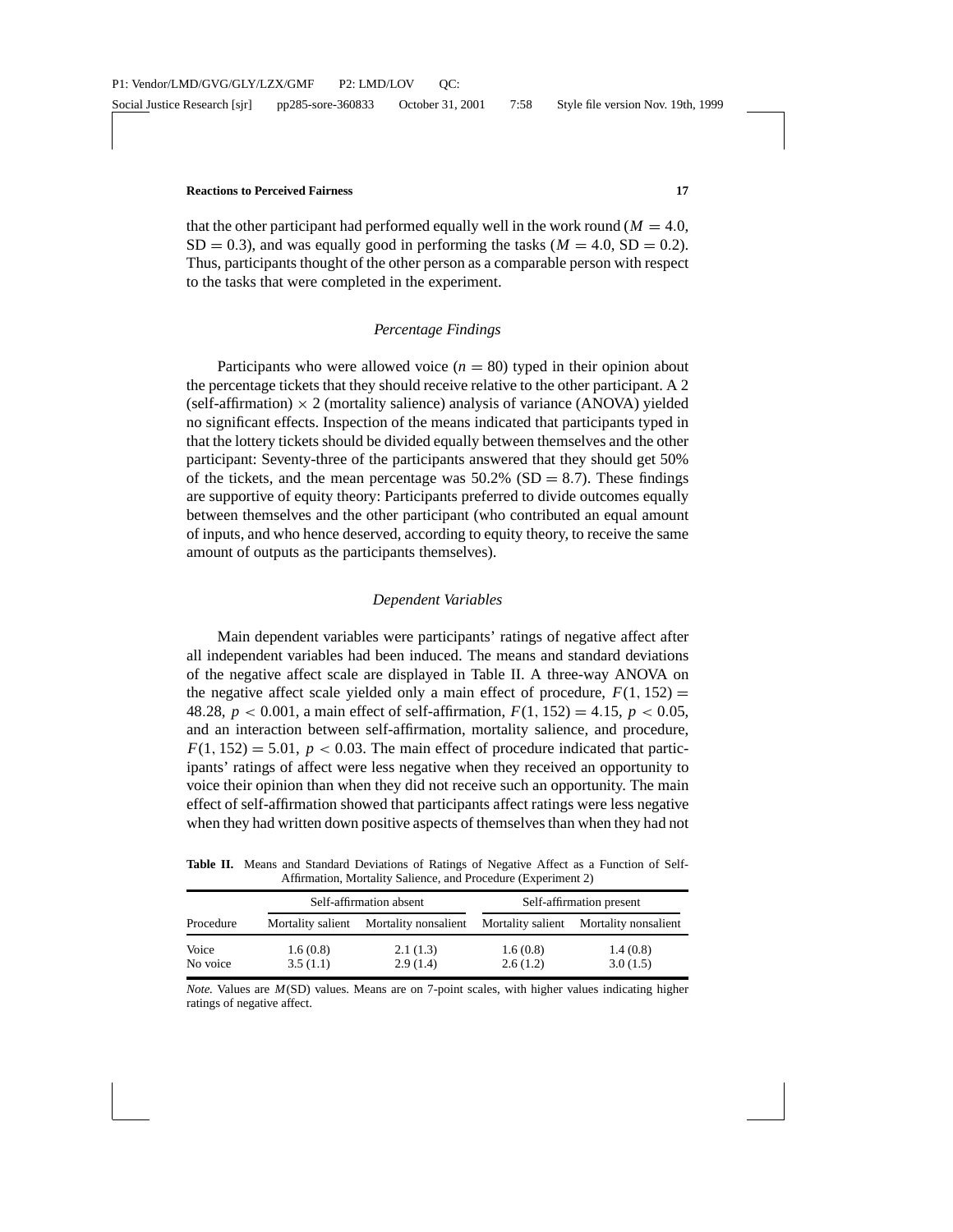that the other participant had performed equally well in the work round ( $M = 4.0$ ,  $SD = 0.3$ ), and was equally good in performing the tasks ( $M = 4.0$ ,  $SD = 0.2$ ). Thus, participants thought of the other person as a comparable person with respect to the tasks that were completed in the experiment.

# *Percentage Findings*

Participants who were allowed voice  $(n = 80)$  typed in their opinion about the percentage tickets that they should receive relative to the other participant. A 2 (self-affirmation)  $\times$  2 (mortality salience) analysis of variance (ANOVA) yielded no significant effects. Inspection of the means indicated that participants typed in that the lottery tickets should be divided equally between themselves and the other participant: Seventy-three of the participants answered that they should get 50% of the tickets, and the mean percentage was  $50.2\%$  (SD = 8.7). These findings are supportive of equity theory: Participants preferred to divide outcomes equally between themselves and the other participant (who contributed an equal amount of inputs, and who hence deserved, according to equity theory, to receive the same amount of outputs as the participants themselves).

## *Dependent Variables*

Main dependent variables were participants' ratings of negative affect after all independent variables had been induced. The means and standard deviations of the negative affect scale are displayed in Table II. A three-way ANOVA on the negative affect scale yielded only a main effect of procedure,  $F(1, 152) =$ 48.28, *p* < 0.001, a main effect of self-affirmation, *F*(1, 152) = 4.15, *p* < 0.05, and an interaction between self-affirmation, mortality salience, and procedure,  $F(1, 152) = 5.01$ ,  $p < 0.03$ . The main effect of procedure indicated that participants' ratings of affect were less negative when they received an opportunity to voice their opinion than when they did not receive such an opportunity. The main effect of self-affirmation showed that participants affect ratings were less negative when they had written down positive aspects of themselves than when they had not

**Table II.** Means and Standard Deviations of Ratings of Negative Affect as a Function of Self-Affirmation, Mortality Salience, and Procedure (Experiment 2)

| Procedure         | Self-affirmation absent |                      | Self-affirmation present |                      |
|-------------------|-------------------------|----------------------|--------------------------|----------------------|
|                   | Mortality salient       | Mortality nonsalient | Mortality salient        | Mortality nonsalient |
| Voice<br>No voice | 1.6(0.8)<br>3.5(1.1)    | 2.1(1.3)<br>2.9(1.4) | 1.6(0.8)<br>2.6(1.2)     | 1.4(0.8)<br>3.0(1.5) |

*Note.* Values are *M*(SD) values. Means are on 7-point scales, with higher values indicating higher ratings of negative affect.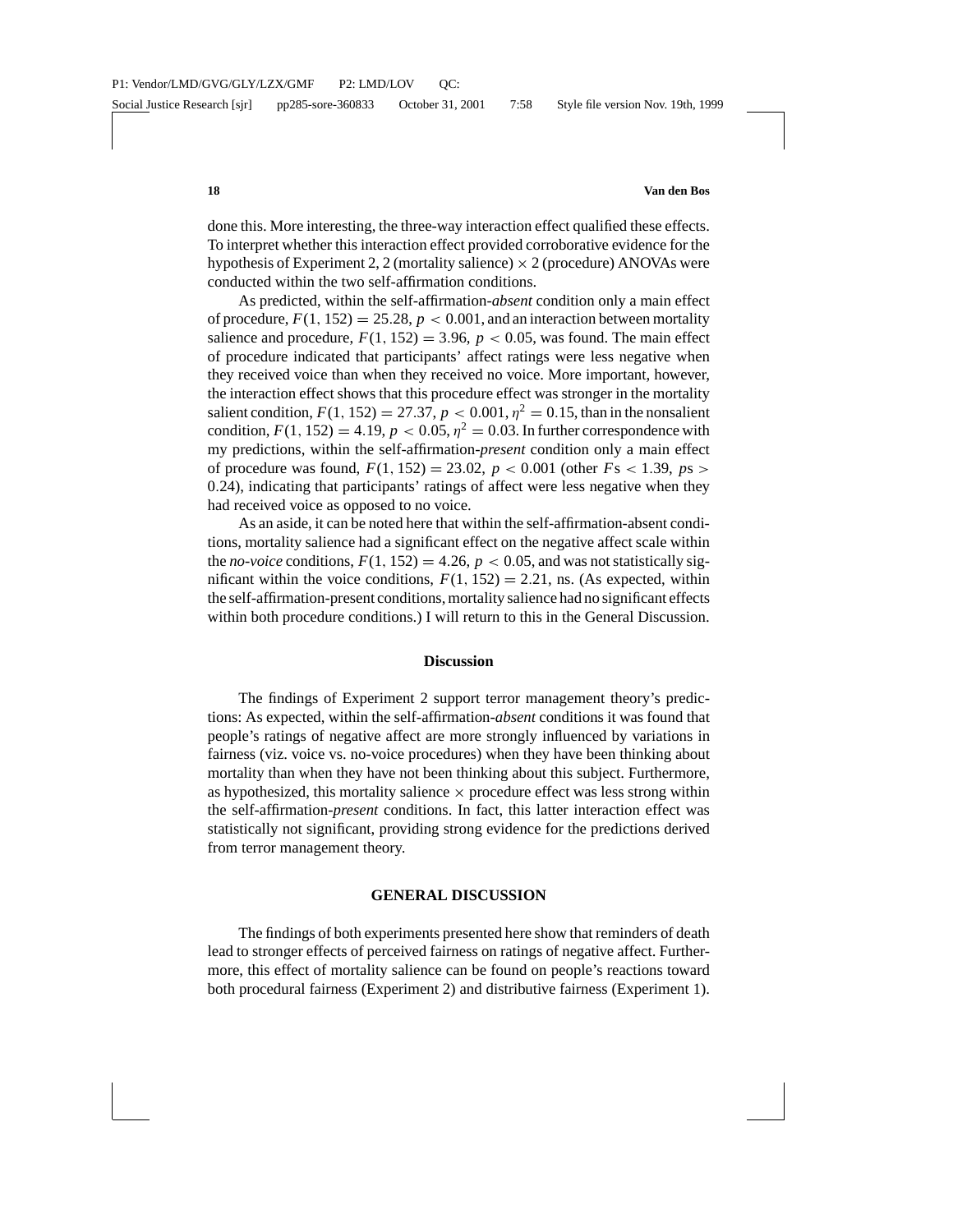done this. More interesting, the three-way interaction effect qualified these effects. To interpret whether this interaction effect provided corroborative evidence for the hypothesis of Experiment 2, 2 (mortality salience)  $\times$  2 (procedure) ANOVAs were conducted within the two self-affirmation conditions.

As predicted, within the self-affirmation-*absent* condition only a main effect of procedure,  $F(1, 152) = 25.28$ ,  $p < 0.001$ , and an interaction between mortality salience and procedure,  $F(1, 152) = 3.96$ ,  $p < 0.05$ , was found. The main effect of procedure indicated that participants' affect ratings were less negative when they received voice than when they received no voice. More important, however, the interaction effect shows that this procedure effect was stronger in the mortality salient condition,  $F(1, 152) = 27.37$ ,  $p < 0.001$ ,  $\eta^2 = 0.15$ , than in the nonsalient condition,  $F(1, 152) = 4.19$ ,  $p < 0.05$ ,  $p^2 = 0.03$ . In further correspondence with my predictions, within the self-affirmation-*present* condition only a main effect of procedure was found,  $F(1, 152) = 23.02$ ,  $p < 0.001$  (other  $Fs < 1.39$ ,  $ps >$ 0.24), indicating that participants' ratings of affect were less negative when they had received voice as opposed to no voice.

As an aside, it can be noted here that within the self-affirmation-absent conditions, mortality salience had a significant effect on the negative affect scale within the *no-voice* conditions,  $F(1, 152) = 4.26$ ,  $p < 0.05$ , and was not statistically significant within the voice conditions,  $F(1, 152) = 2.21$ , ns. (As expected, within the self-affirmation-present conditions, mortality salience had no significant effects within both procedure conditions.) I will return to this in the General Discussion.

## **Discussion**

The findings of Experiment 2 support terror management theory's predictions: As expected, within the self-affirmation-*absent* conditions it was found that people's ratings of negative affect are more strongly influenced by variations in fairness (viz. voice vs. no-voice procedures) when they have been thinking about mortality than when they have not been thinking about this subject. Furthermore, as hypothesized, this mortality salience  $\times$  procedure effect was less strong within the self-affirmation-*present* conditions. In fact, this latter interaction effect was statistically not significant, providing strong evidence for the predictions derived from terror management theory.

### **GENERAL DISCUSSION**

The findings of both experiments presented here show that reminders of death lead to stronger effects of perceived fairness on ratings of negative affect. Furthermore, this effect of mortality salience can be found on people's reactions toward both procedural fairness (Experiment 2) and distributive fairness (Experiment 1).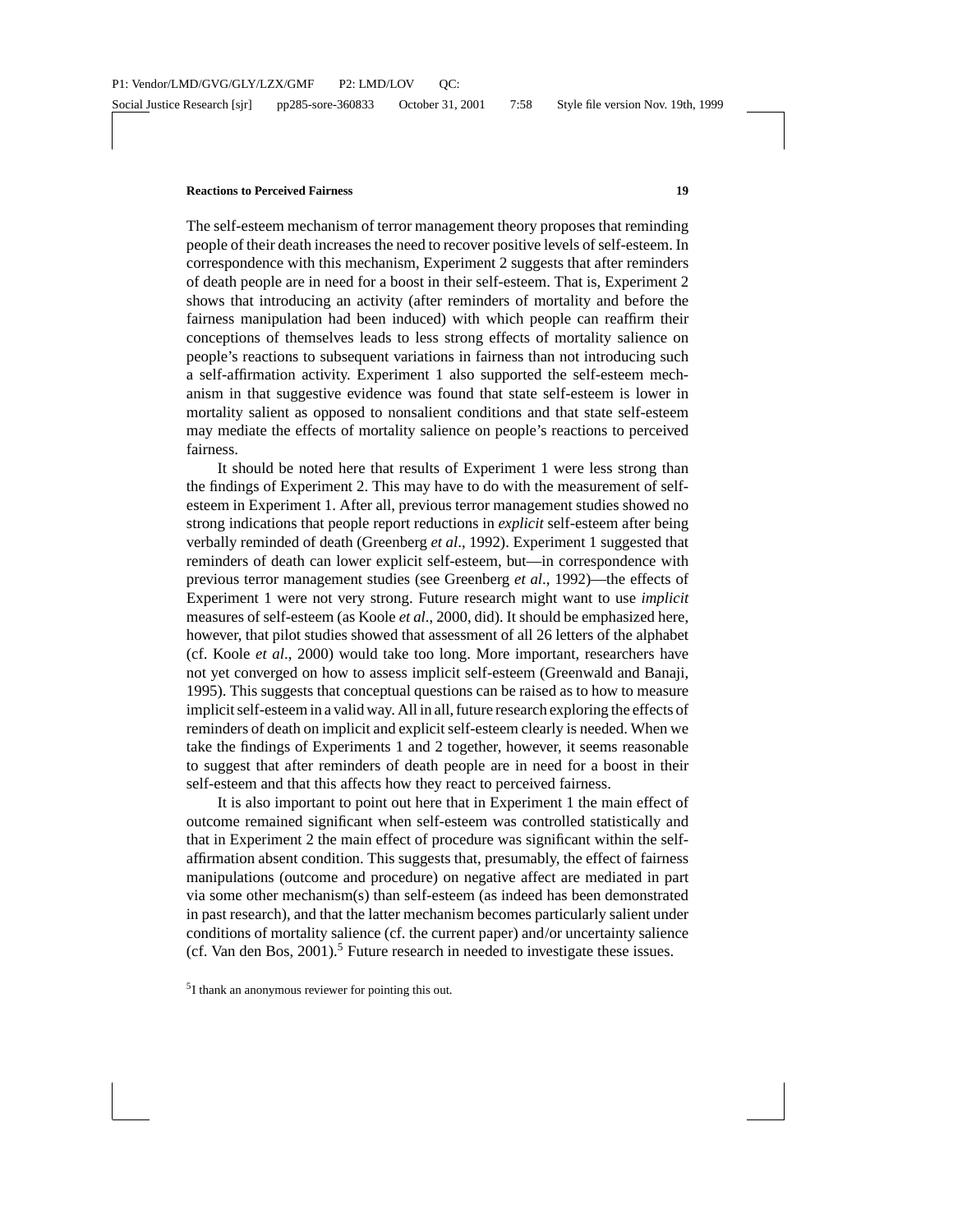The self-esteem mechanism of terror management theory proposes that reminding people of their death increases the need to recover positive levels of self-esteem. In correspondence with this mechanism, Experiment 2 suggests that after reminders of death people are in need for a boost in their self-esteem. That is, Experiment 2 shows that introducing an activity (after reminders of mortality and before the fairness manipulation had been induced) with which people can reaffirm their conceptions of themselves leads to less strong effects of mortality salience on people's reactions to subsequent variations in fairness than not introducing such a self-affirmation activity. Experiment 1 also supported the self-esteem mechanism in that suggestive evidence was found that state self-esteem is lower in mortality salient as opposed to nonsalient conditions and that state self-esteem may mediate the effects of mortality salience on people's reactions to perceived fairness.

It should be noted here that results of Experiment 1 were less strong than the findings of Experiment 2. This may have to do with the measurement of selfesteem in Experiment 1. After all, previous terror management studies showed no strong indications that people report reductions in *explicit* self-esteem after being verbally reminded of death (Greenberg *et al*., 1992). Experiment 1 suggested that reminders of death can lower explicit self-esteem, but—in correspondence with previous terror management studies (see Greenberg *et al*., 1992)—the effects of Experiment 1 were not very strong. Future research might want to use *implicit* measures of self-esteem (as Koole *et al*., 2000, did). It should be emphasized here, however, that pilot studies showed that assessment of all 26 letters of the alphabet (cf. Koole *et al*., 2000) would take too long. More important, researchers have not yet converged on how to assess implicit self-esteem (Greenwald and Banaji, 1995). This suggests that conceptual questions can be raised as to how to measure implicit self-esteem in a valid way. All in all, future research exploring the effects of reminders of death on implicit and explicit self-esteem clearly is needed. When we take the findings of Experiments 1 and 2 together, however, it seems reasonable to suggest that after reminders of death people are in need for a boost in their self-esteem and that this affects how they react to perceived fairness.

It is also important to point out here that in Experiment 1 the main effect of outcome remained significant when self-esteem was controlled statistically and that in Experiment 2 the main effect of procedure was significant within the selfaffirmation absent condition. This suggests that, presumably, the effect of fairness manipulations (outcome and procedure) on negative affect are mediated in part via some other mechanism(s) than self-esteem (as indeed has been demonstrated in past research), and that the latter mechanism becomes particularly salient under conditions of mortality salience (cf. the current paper) and/or uncertainty salience (cf. Van den Bos, 2001).<sup>5</sup> Future research in needed to investigate these issues.

<sup>5</sup>I thank an anonymous reviewer for pointing this out.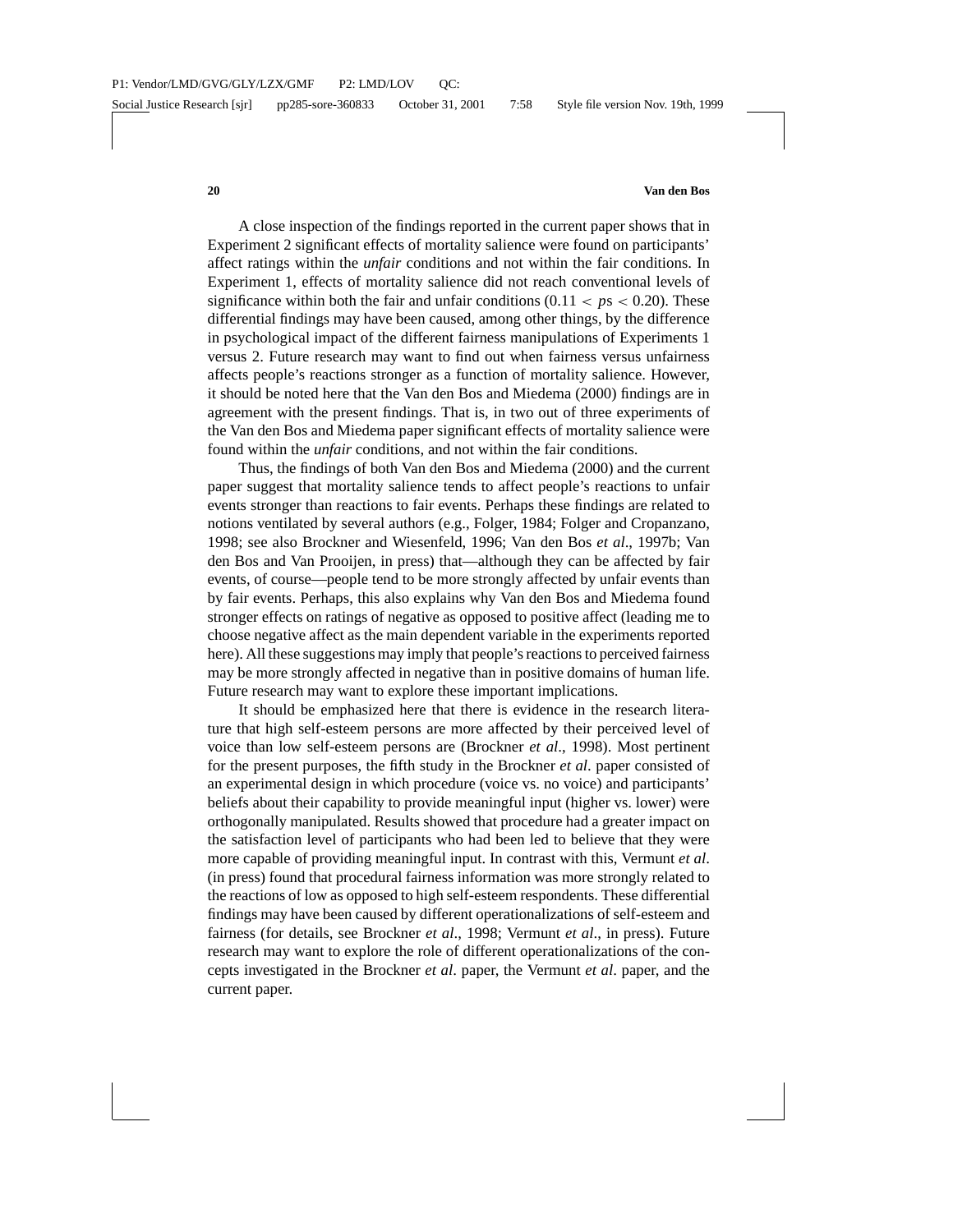A close inspection of the findings reported in the current paper shows that in Experiment 2 significant effects of mortality salience were found on participants' affect ratings within the *unfair* conditions and not within the fair conditions. In Experiment 1, effects of mortality salience did not reach conventional levels of significance within both the fair and unfair conditions  $(0.11 < p<sub>S</sub> < 0.20)$ . These differential findings may have been caused, among other things, by the difference in psychological impact of the different fairness manipulations of Experiments 1 versus 2. Future research may want to find out when fairness versus unfairness affects people's reactions stronger as a function of mortality salience. However, it should be noted here that the Van den Bos and Miedema (2000) findings are in agreement with the present findings. That is, in two out of three experiments of the Van den Bos and Miedema paper significant effects of mortality salience were found within the *unfair* conditions, and not within the fair conditions.

Thus, the findings of both Van den Bos and Miedema (2000) and the current paper suggest that mortality salience tends to affect people's reactions to unfair events stronger than reactions to fair events. Perhaps these findings are related to notions ventilated by several authors (e.g., Folger, 1984; Folger and Cropanzano, 1998; see also Brockner and Wiesenfeld, 1996; Van den Bos *et al*., 1997b; Van den Bos and Van Prooijen, in press) that—although they can be affected by fair events, of course—people tend to be more strongly affected by unfair events than by fair events. Perhaps, this also explains why Van den Bos and Miedema found stronger effects on ratings of negative as opposed to positive affect (leading me to choose negative affect as the main dependent variable in the experiments reported here). All these suggestions may imply that people's reactions to perceived fairness may be more strongly affected in negative than in positive domains of human life. Future research may want to explore these important implications.

It should be emphasized here that there is evidence in the research literature that high self-esteem persons are more affected by their perceived level of voice than low self-esteem persons are (Brockner *et al*., 1998). Most pertinent for the present purposes, the fifth study in the Brockner *et al*. paper consisted of an experimental design in which procedure (voice vs. no voice) and participants' beliefs about their capability to provide meaningful input (higher vs. lower) were orthogonally manipulated. Results showed that procedure had a greater impact on the satisfaction level of participants who had been led to believe that they were more capable of providing meaningful input. In contrast with this, Vermunt *et al*. (in press) found that procedural fairness information was more strongly related to the reactions of low as opposed to high self-esteem respondents. These differential findings may have been caused by different operationalizations of self-esteem and fairness (for details, see Brockner *et al*., 1998; Vermunt *et al*., in press). Future research may want to explore the role of different operationalizations of the concepts investigated in the Brockner *et al*. paper, the Vermunt *et al*. paper, and the current paper.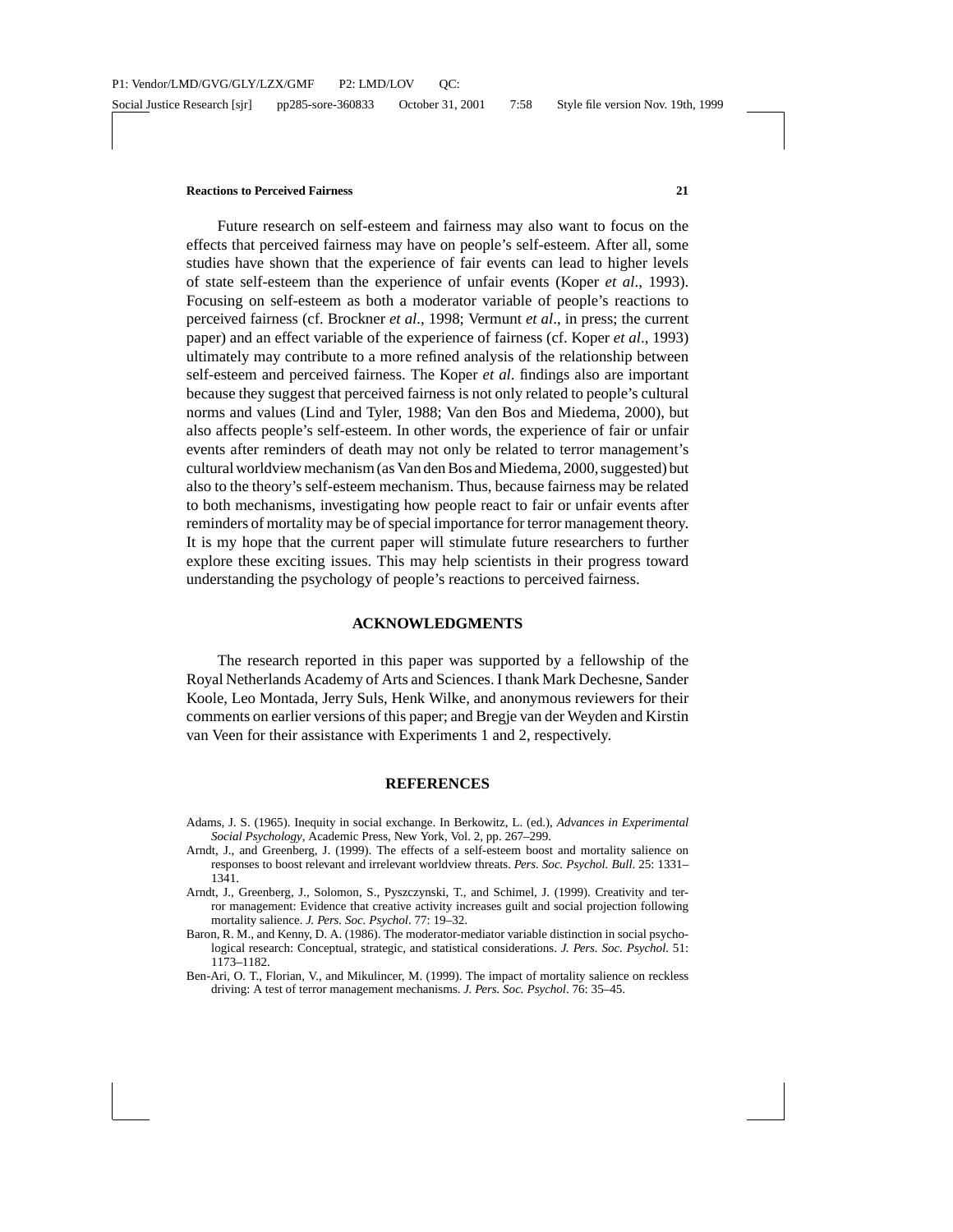Future research on self-esteem and fairness may also want to focus on the effects that perceived fairness may have on people's self-esteem. After all, some studies have shown that the experience of fair events can lead to higher levels of state self-esteem than the experience of unfair events (Koper *et al*., 1993). Focusing on self-esteem as both a moderator variable of people's reactions to perceived fairness (cf. Brockner *et al*., 1998; Vermunt *et al*., in press; the current paper) and an effect variable of the experience of fairness (cf. Koper *et al*., 1993) ultimately may contribute to a more refined analysis of the relationship between self-esteem and perceived fairness. The Koper *et al*. findings also are important because they suggest that perceived fairness is not only related to people's cultural norms and values (Lind and Tyler, 1988; Van den Bos and Miedema, 2000), but also affects people's self-esteem. In other words, the experience of fair or unfair events after reminders of death may not only be related to terror management's cultural worldview mechanism (as Van den Bos and Miedema, 2000, suggested) but also to the theory's self-esteem mechanism. Thus, because fairness may be related to both mechanisms, investigating how people react to fair or unfair events after reminders of mortality may be of special importance for terror management theory. It is my hope that the current paper will stimulate future researchers to further explore these exciting issues. This may help scientists in their progress toward understanding the psychology of people's reactions to perceived fairness.

## **ACKNOWLEDGMENTS**

The research reported in this paper was supported by a fellowship of the Royal Netherlands Academy of Arts and Sciences. I thank Mark Dechesne, Sander Koole, Leo Montada, Jerry Suls, Henk Wilke, and anonymous reviewers for their comments on earlier versions of this paper; and Bregje van der Weyden and Kirstin van Veen for their assistance with Experiments 1 and 2, respectively.

## **REFERENCES**

- Adams, J. S. (1965). Inequity in social exchange. In Berkowitz, L. (ed.), *Advances in Experimental Social Psychology*, Academic Press, New York, Vol. 2, pp. 267–299.
- Arndt, J., and Greenberg, J. (1999). The effects of a self-esteem boost and mortality salience on responses to boost relevant and irrelevant worldview threats. *Pers. Soc. Psychol. Bull*. 25: 1331– 1341.
- Arndt, J., Greenberg, J., Solomon, S., Pyszczynski, T., and Schimel, J. (1999). Creativity and terror management: Evidence that creative activity increases guilt and social projection following mortality salience. *J. Pers. Soc. Psychol*. 77: 19–32.
- Baron, R. M., and Kenny, D. A. (1986). The moderator-mediator variable distinction in social psychological research: Conceptual, strategic, and statistical considerations. *J. Pers. Soc. Psychol*. 51: 1173–1182.
- Ben-Ari, O. T., Florian, V., and Mikulincer, M. (1999). The impact of mortality salience on reckless driving: A test of terror management mechanisms. *J. Pers. Soc. Psychol*. 76: 35–45.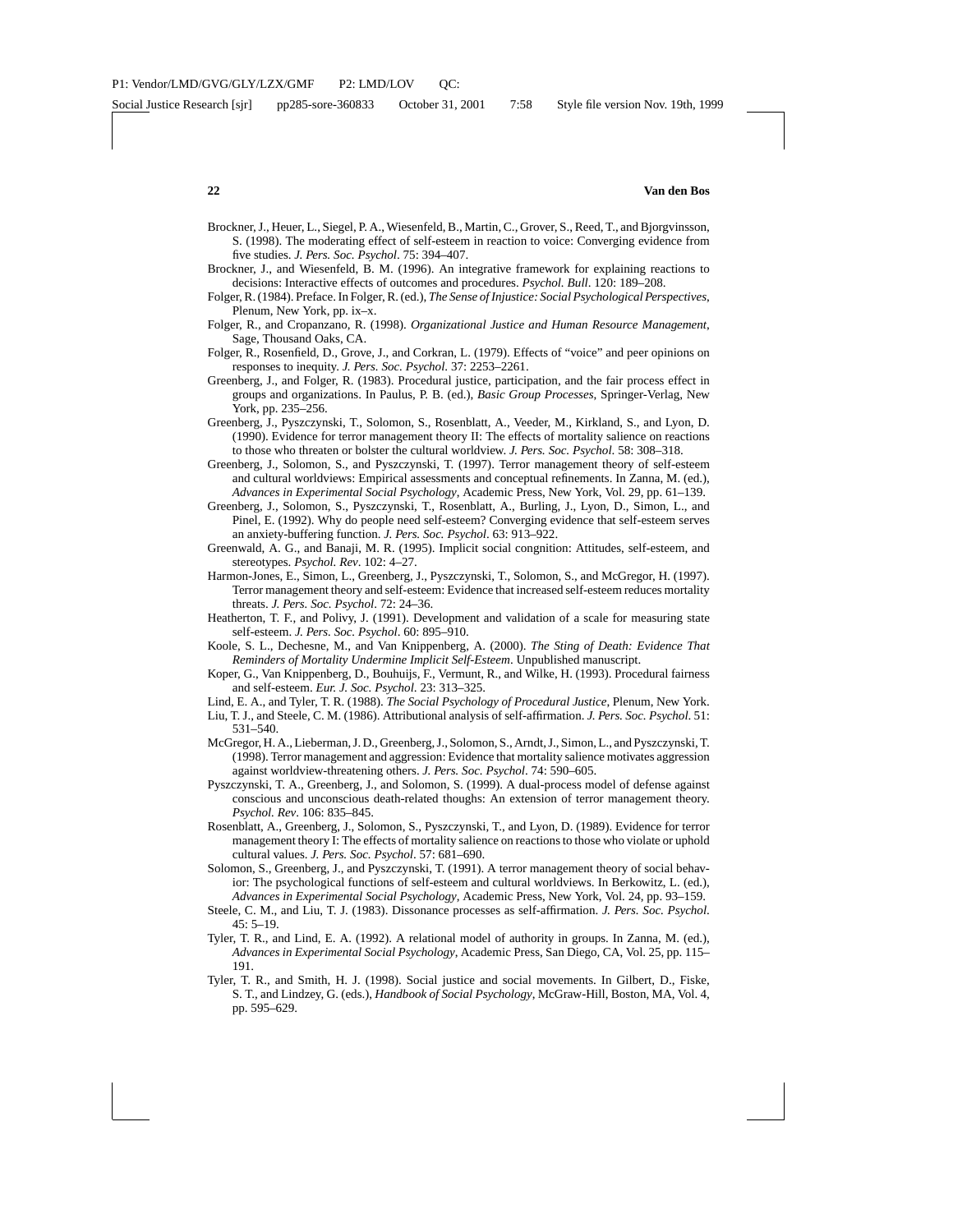- Brockner, J., Heuer, L., Siegel, P. A., Wiesenfeld, B., Martin, C., Grover, S., Reed, T., and Bjorgvinsson, S. (1998). The moderating effect of self-esteem in reaction to voice: Converging evidence from five studies. *J. Pers. Soc. Psychol*. 75: 394–407.
- Brockner, J., and Wiesenfeld, B. M. (1996). An integrative framework for explaining reactions to decisions: Interactive effects of outcomes and procedures. *Psychol. Bull*. 120: 189–208.
- Folger, R. (1984). Preface. In Folger, R. (ed.), *The Sense of Injustice: Social Psychological Perspectives*, Plenum, New York, pp. ix–x.
- Folger, R., and Cropanzano, R. (1998). *Organizational Justice and Human Resource Management*, Sage, Thousand Oaks, CA.
- Folger, R., Rosenfield, D., Grove, J., and Corkran, L. (1979). Effects of "voice" and peer opinions on responses to inequity. *J. Pers. Soc. Psychol*. 37: 2253–2261.
- Greenberg, J., and Folger, R. (1983). Procedural justice, participation, and the fair process effect in groups and organizations. In Paulus, P. B. (ed.), *Basic Group Processes*, Springer-Verlag, New York, pp. 235–256.
- Greenberg, J., Pyszczynski, T., Solomon, S., Rosenblatt, A., Veeder, M., Kirkland, S., and Lyon, D. (1990). Evidence for terror management theory II: The effects of mortality salience on reactions to those who threaten or bolster the cultural worldview. *J. Pers. Soc. Psychol*. 58: 308–318.
- Greenberg, J., Solomon, S., and Pyszczynski, T. (1997). Terror management theory of self-esteem and cultural worldviews: Empirical assessments and conceptual refinements. In Zanna, M. (ed.), *Advances in Experimental Social Psychology*, Academic Press, New York, Vol. 29, pp. 61–139.
- Greenberg, J., Solomon, S., Pyszczynski, T., Rosenblatt, A., Burling, J., Lyon, D., Simon, L., and Pinel, E. (1992). Why do people need self-esteem? Converging evidence that self-esteem serves an anxiety-buffering function. *J. Pers. Soc. Psychol*. 63: 913–922.
- Greenwald, A. G., and Banaji, M. R. (1995). Implicit social congnition: Attitudes, self-esteem, and stereotypes. *Psychol. Rev*. 102: 4–27.
- Harmon-Jones, E., Simon, L., Greenberg, J., Pyszczynski, T., Solomon, S., and McGregor, H. (1997). Terror management theory and self-esteem: Evidence that increased self-esteem reduces mortality threats. *J. Pers. Soc. Psychol*. 72: 24–36.
- Heatherton, T. F., and Polivy, J. (1991). Development and validation of a scale for measuring state self-esteem. *J. Pers. Soc. Psychol*. 60: 895–910.
- Koole, S. L., Dechesne, M., and Van Knippenberg, A. (2000). *The Sting of Death: Evidence That Reminders of Mortality Undermine Implicit Self-Esteem*. Unpublished manuscript.
- Koper, G., Van Knippenberg, D., Bouhuijs, F., Vermunt, R., and Wilke, H. (1993). Procedural fairness and self-esteem. *Eur. J. Soc. Psychol*. 23: 313–325.
- Lind, E. A., and Tyler, T. R. (1988). *The Social Psychology of Procedural Justice*, Plenum, New York.
- Liu, T. J., and Steele, C. M. (1986). Attributional analysis of self-affirmation. *J. Pers. Soc. Psychol*. 51: 531–540.
- McGregor, H. A., Lieberman, J. D., Greenberg, J., Solomon, S., Arndt, J., Simon, L., and Pyszczynski, T. (1998). Terror management and aggression: Evidence that mortality salience motivates aggression against worldview-threatening others. *J. Pers. Soc. Psychol*. 74: 590–605.
- Pyszczynski, T. A., Greenberg, J., and Solomon, S. (1999). A dual-process model of defense against conscious and unconscious death-related thoughs: An extension of terror management theory. *Psychol. Rev*. 106: 835–845.
- Rosenblatt, A., Greenberg, J., Solomon, S., Pyszczynski, T., and Lyon, D. (1989). Evidence for terror management theory I: The effects of mortality salience on reactions to those who violate or uphold cultural values. *J. Pers. Soc. Psychol*. 57: 681–690.
- Solomon, S., Greenberg, J., and Pyszczynski, T. (1991). A terror management theory of social behavior: The psychological functions of self-esteem and cultural worldviews. In Berkowitz, L. (ed.), *Advances in Experimental Social Psychology*, Academic Press, New York, Vol. 24, pp. 93–159.
- Steele, C. M., and Liu, T. J. (1983). Dissonance processes as self-affirmation. *J. Pers. Soc. Psychol*. 45: 5–19.
- Tyler, T. R., and Lind, E. A. (1992). A relational model of authority in groups. In Zanna, M. (ed.), *Advances in Experimental Social Psychology*, Academic Press, San Diego, CA, Vol. 25, pp. 115– 191.
- Tyler, T. R., and Smith, H. J. (1998). Social justice and social movements. In Gilbert, D., Fiske, S. T., and Lindzey, G. (eds.), *Handbook of Social Psychology*, McGraw-Hill, Boston, MA, Vol. 4, pp. 595–629.